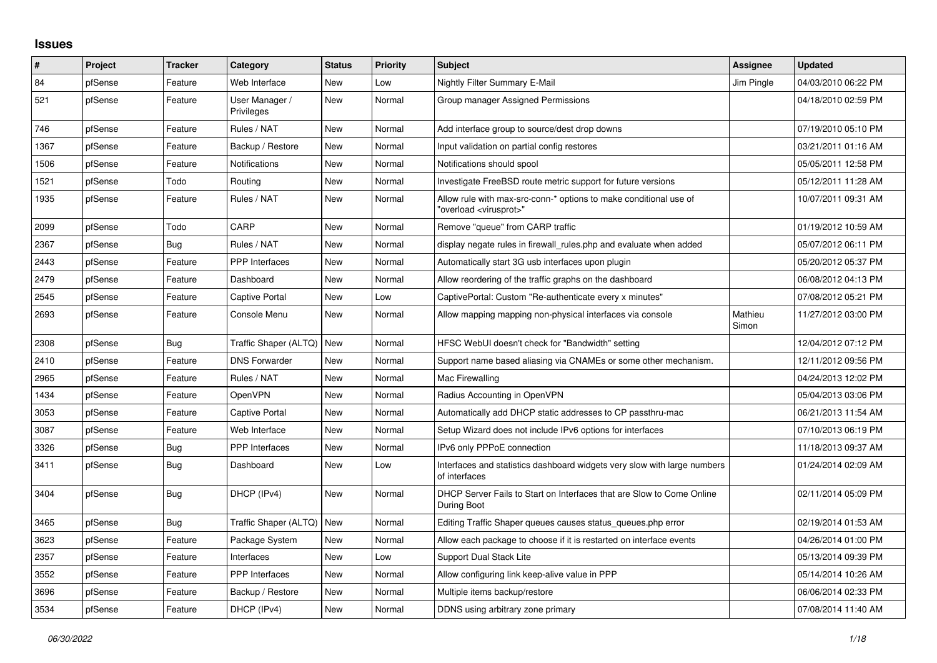## **Issues**

| ∦    | Project | <b>Tracker</b> | Category                     | <b>Status</b> | <b>Priority</b> | <b>Subject</b>                                                                                          | Assignee         | <b>Updated</b>      |
|------|---------|----------------|------------------------------|---------------|-----------------|---------------------------------------------------------------------------------------------------------|------------------|---------------------|
| 84   | pfSense | Feature        | Web Interface                | <b>New</b>    | Low             | Nightly Filter Summary E-Mail                                                                           | Jim Pingle       | 04/03/2010 06:22 PM |
| 521  | pfSense | Feature        | User Manager /<br>Privileges | <b>New</b>    | Normal          | Group manager Assigned Permissions                                                                      |                  | 04/18/2010 02:59 PM |
| 746  | pfSense | Feature        | Rules / NAT                  | <b>New</b>    | Normal          | Add interface group to source/dest drop downs                                                           |                  | 07/19/2010 05:10 PM |
| 1367 | pfSense | Feature        | Backup / Restore             | New           | Normal          | Input validation on partial config restores                                                             |                  | 03/21/2011 01:16 AM |
| 1506 | pfSense | Feature        | Notifications                | <b>New</b>    | Normal          | Notifications should spool                                                                              |                  | 05/05/2011 12:58 PM |
| 1521 | pfSense | Todo           | Routing                      | New           | Normal          | Investigate FreeBSD route metric support for future versions                                            |                  | 05/12/2011 11:28 AM |
| 1935 | pfSense | Feature        | Rules / NAT                  | <b>New</b>    | Normal          | Allow rule with max-src-conn-* options to make conditional use of<br>"overload <virusprot>"</virusprot> |                  | 10/07/2011 09:31 AM |
| 2099 | pfSense | Todo           | CARP                         | <b>New</b>    | Normal          | Remove "queue" from CARP traffic                                                                        |                  | 01/19/2012 10:59 AM |
| 2367 | pfSense | Bug            | Rules / NAT                  | New           | Normal          | display negate rules in firewall_rules.php and evaluate when added                                      |                  | 05/07/2012 06:11 PM |
| 2443 | pfSense | Feature        | <b>PPP</b> Interfaces        | <b>New</b>    | Normal          | Automatically start 3G usb interfaces upon plugin                                                       |                  | 05/20/2012 05:37 PM |
| 2479 | pfSense | Feature        | Dashboard                    | <b>New</b>    | Normal          | Allow reordering of the traffic graphs on the dashboard                                                 |                  | 06/08/2012 04:13 PM |
| 2545 | pfSense | Feature        | Captive Portal               | <b>New</b>    | Low             | CaptivePortal: Custom "Re-authenticate every x minutes"                                                 |                  | 07/08/2012 05:21 PM |
| 2693 | pfSense | Feature        | Console Menu                 | New           | Normal          | Allow mapping mapping non-physical interfaces via console                                               | Mathieu<br>Simon | 11/27/2012 03:00 PM |
| 2308 | pfSense | Bug            | Traffic Shaper (ALTQ)        | New           | Normal          | HFSC WebUI doesn't check for "Bandwidth" setting                                                        |                  | 12/04/2012 07:12 PM |
| 2410 | pfSense | Feature        | <b>DNS Forwarder</b>         | <b>New</b>    | Normal          | Support name based aliasing via CNAMEs or some other mechanism.                                         |                  | 12/11/2012 09:56 PM |
| 2965 | pfSense | Feature        | Rules / NAT                  | New           | Normal          | Mac Firewalling                                                                                         |                  | 04/24/2013 12:02 PM |
| 1434 | pfSense | Feature        | OpenVPN                      | <b>New</b>    | Normal          | Radius Accounting in OpenVPN                                                                            |                  | 05/04/2013 03:06 PM |
| 3053 | pfSense | Feature        | Captive Portal               | <b>New</b>    | Normal          | Automatically add DHCP static addresses to CP passthru-mac                                              |                  | 06/21/2013 11:54 AM |
| 3087 | pfSense | Feature        | Web Interface                | <b>New</b>    | Normal          | Setup Wizard does not include IPv6 options for interfaces                                               |                  | 07/10/2013 06:19 PM |
| 3326 | pfSense | Bug            | PPP Interfaces               | <b>New</b>    | Normal          | IPv6 only PPPoE connection                                                                              |                  | 11/18/2013 09:37 AM |
| 3411 | pfSense | Bug            | Dashboard                    | <b>New</b>    | Low             | Interfaces and statistics dashboard widgets very slow with large numbers<br>of interfaces               |                  | 01/24/2014 02:09 AM |
| 3404 | pfSense | Bug            | DHCP (IPv4)                  | <b>New</b>    | Normal          | DHCP Server Fails to Start on Interfaces that are Slow to Come Online<br>During Boot                    |                  | 02/11/2014 05:09 PM |
| 3465 | pfSense | <b>Bug</b>     | Traffic Shaper (ALTQ)        | <b>New</b>    | Normal          | Editing Traffic Shaper queues causes status_queues.php error                                            |                  | 02/19/2014 01:53 AM |
| 3623 | pfSense | Feature        | Package System               | <b>New</b>    | Normal          | Allow each package to choose if it is restarted on interface events                                     |                  | 04/26/2014 01:00 PM |
| 2357 | pfSense | Feature        | Interfaces                   | New           | Low             | Support Dual Stack Lite                                                                                 |                  | 05/13/2014 09:39 PM |
| 3552 | pfSense | Feature        | PPP Interfaces               | <b>New</b>    | Normal          | Allow configuring link keep-alive value in PPP                                                          |                  | 05/14/2014 10:26 AM |
| 3696 | pfSense | Feature        | Backup / Restore             | <b>New</b>    | Normal          | Multiple items backup/restore                                                                           |                  | 06/06/2014 02:33 PM |
| 3534 | pfSense | Feature        | DHCP (IPv4)                  | <b>New</b>    | Normal          | DDNS using arbitrary zone primary                                                                       |                  | 07/08/2014 11:40 AM |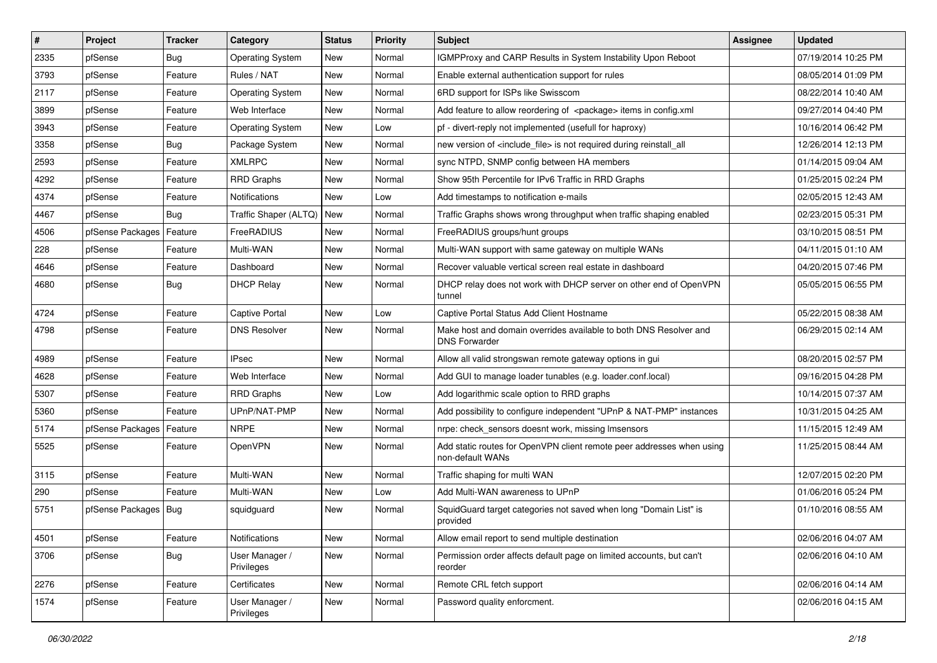| $\vert$ # | Project                | <b>Tracker</b> | Category                     | <b>Status</b> | <b>Priority</b> | <b>Subject</b>                                                                            | <b>Assignee</b> | <b>Updated</b>      |
|-----------|------------------------|----------------|------------------------------|---------------|-----------------|-------------------------------------------------------------------------------------------|-----------------|---------------------|
| 2335      | pfSense                | Bug            | <b>Operating System</b>      | New           | Normal          | IGMPProxy and CARP Results in System Instability Upon Reboot                              |                 | 07/19/2014 10:25 PM |
| 3793      | pfSense                | Feature        | Rules / NAT                  | <b>New</b>    | Normal          | Enable external authentication support for rules                                          |                 | 08/05/2014 01:09 PM |
| 2117      | pfSense                | Feature        | <b>Operating System</b>      | <b>New</b>    | Normal          | 6RD support for ISPs like Swisscom                                                        |                 | 08/22/2014 10:40 AM |
| 3899      | pfSense                | Feature        | Web Interface                | <b>New</b>    | Normal          | Add feature to allow reordering of <package> items in config.xml</package>                |                 | 09/27/2014 04:40 PM |
| 3943      | pfSense                | Feature        | <b>Operating System</b>      | <b>New</b>    | Low             | pf - divert-reply not implemented (usefull for haproxy)                                   |                 | 10/16/2014 06:42 PM |
| 3358      | pfSense                | Bug            | Package System               | New           | Normal          | new version of <include file=""> is not required during reinstall all</include>           |                 | 12/26/2014 12:13 PM |
| 2593      | pfSense                | Feature        | <b>XMLRPC</b>                | <b>New</b>    | Normal          | sync NTPD, SNMP config between HA members                                                 |                 | 01/14/2015 09:04 AM |
| 4292      | pfSense                | Feature        | <b>RRD Graphs</b>            | <b>New</b>    | Normal          | Show 95th Percentile for IPv6 Traffic in RRD Graphs                                       |                 | 01/25/2015 02:24 PM |
| 4374      | pfSense                | Feature        | Notifications                | <b>New</b>    | Low             | Add timestamps to notification e-mails                                                    |                 | 02/05/2015 12:43 AM |
| 4467      | pfSense                | Bug            | Traffic Shaper (ALTQ)        | <b>New</b>    | Normal          | Traffic Graphs shows wrong throughput when traffic shaping enabled                        |                 | 02/23/2015 05:31 PM |
| 4506      | pfSense Packages       | Feature        | FreeRADIUS                   | <b>New</b>    | Normal          | FreeRADIUS groups/hunt groups                                                             |                 | 03/10/2015 08:51 PM |
| 228       | pfSense                | Feature        | Multi-WAN                    | <b>New</b>    | Normal          | Multi-WAN support with same gateway on multiple WANs                                      |                 | 04/11/2015 01:10 AM |
| 4646      | pfSense                | Feature        | Dashboard                    | <b>New</b>    | Normal          | Recover valuable vertical screen real estate in dashboard                                 |                 | 04/20/2015 07:46 PM |
| 4680      | pfSense                | <b>Bug</b>     | <b>DHCP Relay</b>            | <b>New</b>    | Normal          | DHCP relay does not work with DHCP server on other end of OpenVPN<br>tunnel               |                 | 05/05/2015 06:55 PM |
| 4724      | pfSense                | Feature        | <b>Captive Portal</b>        | <b>New</b>    | Low             | Captive Portal Status Add Client Hostname                                                 |                 | 05/22/2015 08:38 AM |
| 4798      | pfSense                | Feature        | <b>DNS Resolver</b>          | <b>New</b>    | Normal          | Make host and domain overrides available to both DNS Resolver and<br><b>DNS Forwarder</b> |                 | 06/29/2015 02:14 AM |
| 4989      | pfSense                | Feature        | <b>IPsec</b>                 | <b>New</b>    | Normal          | Allow all valid strongswan remote gateway options in gui                                  |                 | 08/20/2015 02:57 PM |
| 4628      | pfSense                | Feature        | Web Interface                | <b>New</b>    | Normal          | Add GUI to manage loader tunables (e.g. loader.conf.local)                                |                 | 09/16/2015 04:28 PM |
| 5307      | pfSense                | Feature        | <b>RRD Graphs</b>            | <b>New</b>    | Low             | Add logarithmic scale option to RRD graphs                                                |                 | 10/14/2015 07:37 AM |
| 5360      | pfSense                | Feature        | UPnP/NAT-PMP                 | New           | Normal          | Add possibility to configure independent "UPnP & NAT-PMP" instances                       |                 | 10/31/2015 04:25 AM |
| 5174      | pfSense Packages       | Feature        | <b>NRPE</b>                  | New           | Normal          | nrpe: check_sensors doesnt work, missing Imsensors                                        |                 | 11/15/2015 12:49 AM |
| 5525      | pfSense                | Feature        | OpenVPN                      | <b>New</b>    | Normal          | Add static routes for OpenVPN client remote peer addresses when using<br>non-default WANs |                 | 11/25/2015 08:44 AM |
| 3115      | pfSense                | Feature        | Multi-WAN                    | <b>New</b>    | Normal          | Traffic shaping for multi WAN                                                             |                 | 12/07/2015 02:20 PM |
| 290       | pfSense                | Feature        | Multi-WAN                    | <b>New</b>    | Low             | Add Multi-WAN awareness to UPnP                                                           |                 | 01/06/2016 05:24 PM |
| 5751      | pfSense Packages   Bug |                | squidguard                   | New           | Normal          | SquidGuard target categories not saved when long "Domain List" is<br>provided             |                 | 01/10/2016 08:55 AM |
| 4501      | pfSense                | Feature        | Notifications                | New           | Normal          | Allow email report to send multiple destination                                           |                 | 02/06/2016 04:07 AM |
| 3706      | pfSense                | <b>Bug</b>     | User Manager /<br>Privileges | New           | Normal          | Permission order affects default page on limited accounts, but can't<br>reorder           |                 | 02/06/2016 04:10 AM |
| 2276      | pfSense                | Feature        | Certificates                 | New           | Normal          | Remote CRL fetch support                                                                  |                 | 02/06/2016 04:14 AM |
| 1574      | pfSense                | Feature        | User Manager /<br>Privileges | New           | Normal          | Password quality enforcment.                                                              |                 | 02/06/2016 04:15 AM |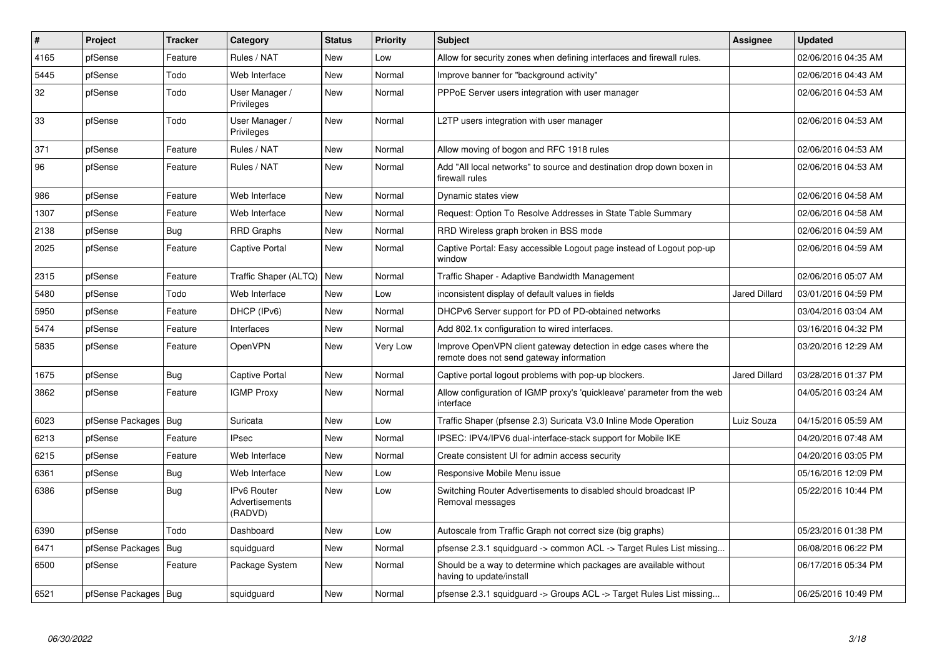| #    | Project                | <b>Tracker</b> | Category                                 | <b>Status</b> | <b>Priority</b> | <b>Subject</b>                                                                                               | Assignee             | <b>Updated</b>      |
|------|------------------------|----------------|------------------------------------------|---------------|-----------------|--------------------------------------------------------------------------------------------------------------|----------------------|---------------------|
| 4165 | pfSense                | Feature        | Rules / NAT                              | <b>New</b>    | Low             | Allow for security zones when defining interfaces and firewall rules.                                        |                      | 02/06/2016 04:35 AM |
| 5445 | pfSense                | Todo           | Web Interface                            | New           | Normal          | Improve banner for "background activity"                                                                     |                      | 02/06/2016 04:43 AM |
| 32   | pfSense                | Todo           | User Manager /<br>Privileges             | New           | Normal          | PPPoE Server users integration with user manager                                                             |                      | 02/06/2016 04:53 AM |
| 33   | pfSense                | Todo           | User Manager /<br>Privileges             | New           | Normal          | L2TP users integration with user manager                                                                     |                      | 02/06/2016 04:53 AM |
| 371  | pfSense                | Feature        | Rules / NAT                              | <b>New</b>    | Normal          | Allow moving of bogon and RFC 1918 rules                                                                     |                      | 02/06/2016 04:53 AM |
| 96   | pfSense                | Feature        | Rules / NAT                              | <b>New</b>    | Normal          | Add "All local networks" to source and destination drop down boxen in<br>firewall rules                      |                      | 02/06/2016 04:53 AM |
| 986  | pfSense                | Feature        | Web Interface                            | New           | Normal          | Dynamic states view                                                                                          |                      | 02/06/2016 04:58 AM |
| 1307 | pfSense                | Feature        | Web Interface                            | New           | Normal          | Request: Option To Resolve Addresses in State Table Summary                                                  |                      | 02/06/2016 04:58 AM |
| 2138 | pfSense                | Bug            | <b>RRD Graphs</b>                        | New           | Normal          | RRD Wireless graph broken in BSS mode                                                                        |                      | 02/06/2016 04:59 AM |
| 2025 | pfSense                | Feature        | <b>Captive Portal</b>                    | <b>New</b>    | Normal          | Captive Portal: Easy accessible Logout page instead of Logout pop-up<br>window                               |                      | 02/06/2016 04:59 AM |
| 2315 | pfSense                | Feature        | Traffic Shaper (ALTQ)   New              |               | Normal          | Traffic Shaper - Adaptive Bandwidth Management                                                               |                      | 02/06/2016 05:07 AM |
| 5480 | pfSense                | Todo           | Web Interface                            | <b>New</b>    | Low             | inconsistent display of default values in fields                                                             | Jared Dillard        | 03/01/2016 04:59 PM |
| 5950 | pfSense                | Feature        | DHCP (IPv6)                              | <b>New</b>    | Normal          | DHCPv6 Server support for PD of PD-obtained networks                                                         |                      | 03/04/2016 03:04 AM |
| 5474 | pfSense                | Feature        | Interfaces                               | <b>New</b>    | Normal          | Add 802.1x configuration to wired interfaces.                                                                |                      | 03/16/2016 04:32 PM |
| 5835 | pfSense                | Feature        | <b>OpenVPN</b>                           | New           | Very Low        | Improve OpenVPN client gateway detection in edge cases where the<br>remote does not send gateway information |                      | 03/20/2016 12:29 AM |
| 1675 | pfSense                | Bug            | Captive Portal                           | <b>New</b>    | Normal          | Captive portal logout problems with pop-up blockers.                                                         | <b>Jared Dillard</b> | 03/28/2016 01:37 PM |
| 3862 | pfSense                | Feature        | <b>IGMP Proxy</b>                        | New           | Normal          | Allow configuration of IGMP proxy's 'quickleave' parameter from the web<br>interface                         |                      | 04/05/2016 03:24 AM |
| 6023 | pfSense Packages   Bug |                | Suricata                                 | <b>New</b>    | Low             | Traffic Shaper (pfsense 2.3) Suricata V3.0 Inline Mode Operation                                             | Luiz Souza           | 04/15/2016 05:59 AM |
| 6213 | pfSense                | Feature        | <b>IPsec</b>                             | <b>New</b>    | Normal          | IPSEC: IPV4/IPV6 dual-interface-stack support for Mobile IKE                                                 |                      | 04/20/2016 07:48 AM |
| 6215 | pfSense                | Feature        | Web Interface                            | New           | Normal          | Create consistent UI for admin access security                                                               |                      | 04/20/2016 03:05 PM |
| 6361 | pfSense                | Bug            | Web Interface                            | <b>New</b>    | Low             | Responsive Mobile Menu issue                                                                                 |                      | 05/16/2016 12:09 PM |
| 6386 | pfSense                | Bug            | IPv6 Router<br>Advertisements<br>(RADVD) | New           | Low             | Switching Router Advertisements to disabled should broadcast IP<br>Removal messages                          |                      | 05/22/2016 10:44 PM |
| 6390 | pfSense                | Todo           | Dashboard                                | New           | Low             | Autoscale from Traffic Graph not correct size (big graphs)                                                   |                      | 05/23/2016 01:38 PM |
| 6471 | pfSense Packages   Bug |                | squidguard                               | <b>New</b>    | Normal          | pfsense 2.3.1 squidguard -> common ACL -> Target Rules List missing                                          |                      | 06/08/2016 06:22 PM |
| 6500 | pfSense                | Feature        | Package System                           | New           | Normal          | Should be a way to determine which packages are available without<br>having to update/install                |                      | 06/17/2016 05:34 PM |
| 6521 | pfSense Packages   Bug |                | squidguard                               | New           | Normal          | pfsense 2.3.1 squidguard -> Groups ACL -> Target Rules List missing                                          |                      | 06/25/2016 10:49 PM |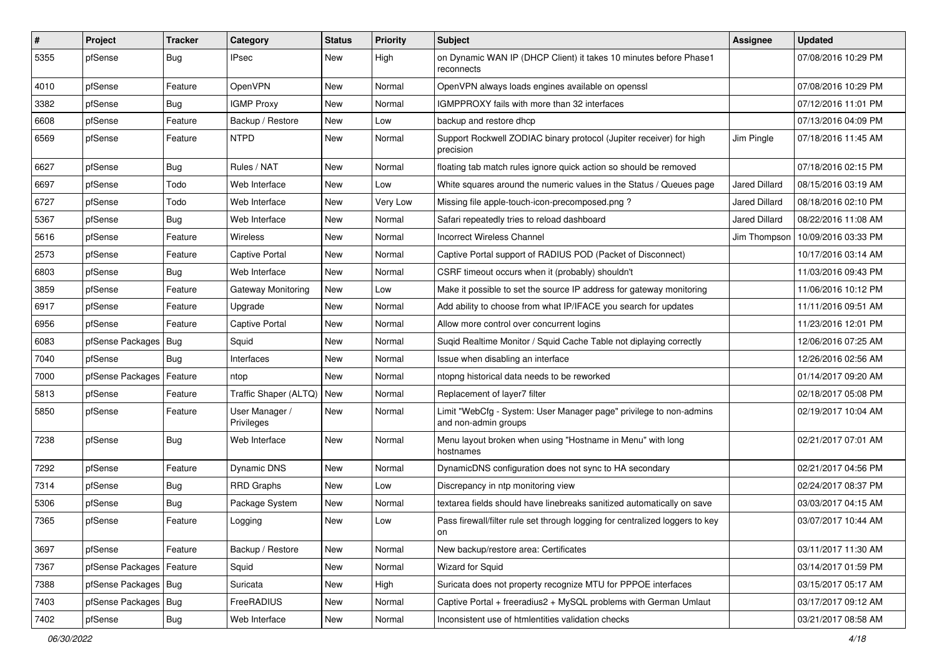| $\vert$ # | Project                | <b>Tracker</b> | Category                     | <b>Status</b> | <b>Priority</b> | <b>Subject</b>                                                                             | Assignee             | <b>Updated</b>                     |
|-----------|------------------------|----------------|------------------------------|---------------|-----------------|--------------------------------------------------------------------------------------------|----------------------|------------------------------------|
| 5355      | pfSense                | Bug            | IPsec                        | New           | High            | on Dynamic WAN IP (DHCP Client) it takes 10 minutes before Phase1<br>reconnects            |                      | 07/08/2016 10:29 PM                |
| 4010      | pfSense                | Feature        | OpenVPN                      | New           | Normal          | OpenVPN always loads engines available on openssl                                          |                      | 07/08/2016 10:29 PM                |
| 3382      | pfSense                | Bug            | <b>IGMP Proxy</b>            | New           | Normal          | IGMPPROXY fails with more than 32 interfaces                                               |                      | 07/12/2016 11:01 PM                |
| 6608      | pfSense                | Feature        | Backup / Restore             | <b>New</b>    | Low             | backup and restore dhcp                                                                    |                      | 07/13/2016 04:09 PM                |
| 6569      | pfSense                | Feature        | <b>NTPD</b>                  | New           | Normal          | Support Rockwell ZODIAC binary protocol (Jupiter receiver) for high<br>precision           | Jim Pingle           | 07/18/2016 11:45 AM                |
| 6627      | pfSense                | Bug            | Rules / NAT                  | <b>New</b>    | Normal          | floating tab match rules ignore quick action so should be removed                          |                      | 07/18/2016 02:15 PM                |
| 6697      | pfSense                | Todo           | Web Interface                | New           | Low             | White squares around the numeric values in the Status / Queues page                        | Jared Dillard        | 08/15/2016 03:19 AM                |
| 6727      | pfSense                | Todo           | Web Interface                | New           | Very Low        | Missing file apple-touch-icon-precomposed.png?                                             | Jared Dillard        | 08/18/2016 02:10 PM                |
| 5367      | pfSense                | Bug            | Web Interface                | New           | Normal          | Safari repeatedly tries to reload dashboard                                                | <b>Jared Dillard</b> | 08/22/2016 11:08 AM                |
| 5616      | pfSense                | Feature        | <b>Wireless</b>              | New           | Normal          | <b>Incorrect Wireless Channel</b>                                                          |                      | Jim Thompson   10/09/2016 03:33 PM |
| 2573      | pfSense                | Feature        | <b>Captive Portal</b>        | <b>New</b>    | Normal          | Captive Portal support of RADIUS POD (Packet of Disconnect)                                |                      | 10/17/2016 03:14 AM                |
| 6803      | pfSense                | Bug            | Web Interface                | <b>New</b>    | Normal          | CSRF timeout occurs when it (probably) shouldn't                                           |                      | 11/03/2016 09:43 PM                |
| 3859      | pfSense                | Feature        | Gateway Monitoring           | <b>New</b>    | Low             | Make it possible to set the source IP address for gateway monitoring                       |                      | 11/06/2016 10:12 PM                |
| 6917      | pfSense                | Feature        | Upgrade                      | New           | Normal          | Add ability to choose from what IP/IFACE you search for updates                            |                      | 11/11/2016 09:51 AM                |
| 6956      | pfSense                | Feature        | Captive Portal               | <b>New</b>    | Normal          | Allow more control over concurrent logins                                                  |                      | 11/23/2016 12:01 PM                |
| 6083      | pfSense Packages       | Bug            | Squid                        | New           | Normal          | Suqid Realtime Monitor / Squid Cache Table not diplaying correctly                         |                      | 12/06/2016 07:25 AM                |
| 7040      | pfSense                | Bug            | Interfaces                   | New           | Normal          | Issue when disabling an interface                                                          |                      | 12/26/2016 02:56 AM                |
| 7000      | pfSense Packages       | Feature        | ntop                         | <b>New</b>    | Normal          | ntopng historical data needs to be reworked                                                |                      | 01/14/2017 09:20 AM                |
| 5813      | pfSense                | Feature        | Traffic Shaper (ALTQ)        | New           | Normal          | Replacement of layer7 filter                                                               |                      | 02/18/2017 05:08 PM                |
| 5850      | pfSense                | Feature        | User Manager /<br>Privileges | New           | Normal          | Limit "WebCfg - System: User Manager page" privilege to non-admins<br>and non-admin groups |                      | 02/19/2017 10:04 AM                |
| 7238      | pfSense                | Bug            | Web Interface                | New           | Normal          | Menu layout broken when using "Hostname in Menu" with long<br>hostnames                    |                      | 02/21/2017 07:01 AM                |
| 7292      | pfSense                | Feature        | Dynamic DNS                  | <b>New</b>    | Normal          | DynamicDNS configuration does not sync to HA secondary                                     |                      | 02/21/2017 04:56 PM                |
| 7314      | pfSense                | Bug            | <b>RRD Graphs</b>            | New           | Low             | Discrepancy in ntp monitoring view                                                         |                      | 02/24/2017 08:37 PM                |
| 5306      | pfSense                | Bug            | Package System               | New           | Normal          | textarea fields should have linebreaks sanitized automatically on save                     |                      | 03/03/2017 04:15 AM                |
| 7365      | pfSense                | Feature        | Logging                      | <b>New</b>    | Low             | Pass firewall/filter rule set through logging for centralized loggers to key<br>on         |                      | 03/07/2017 10:44 AM                |
| 3697      | pfSense                | Feature        | Backup / Restore             | New           | Normal          | New backup/restore area: Certificates                                                      |                      | 03/11/2017 11:30 AM                |
| 7367      | pfSense Packages       | Feature        | Squid                        | New           | Normal          | <b>Wizard for Squid</b>                                                                    |                      | 03/14/2017 01:59 PM                |
| 7388      | pfSense Packages   Bug |                | Suricata                     | New           | High            | Suricata does not property recognize MTU for PPPOE interfaces                              |                      | 03/15/2017 05:17 AM                |
| 7403      | pfSense Packages       | <b>Bug</b>     | FreeRADIUS                   | New           | Normal          | Captive Portal + freeradius2 + MySQL problems with German Umlaut                           |                      | 03/17/2017 09:12 AM                |
| 7402      | pfSense                | Bug            | Web Interface                | New           | Normal          | Inconsistent use of htmlentities validation checks                                         |                      | 03/21/2017 08:58 AM                |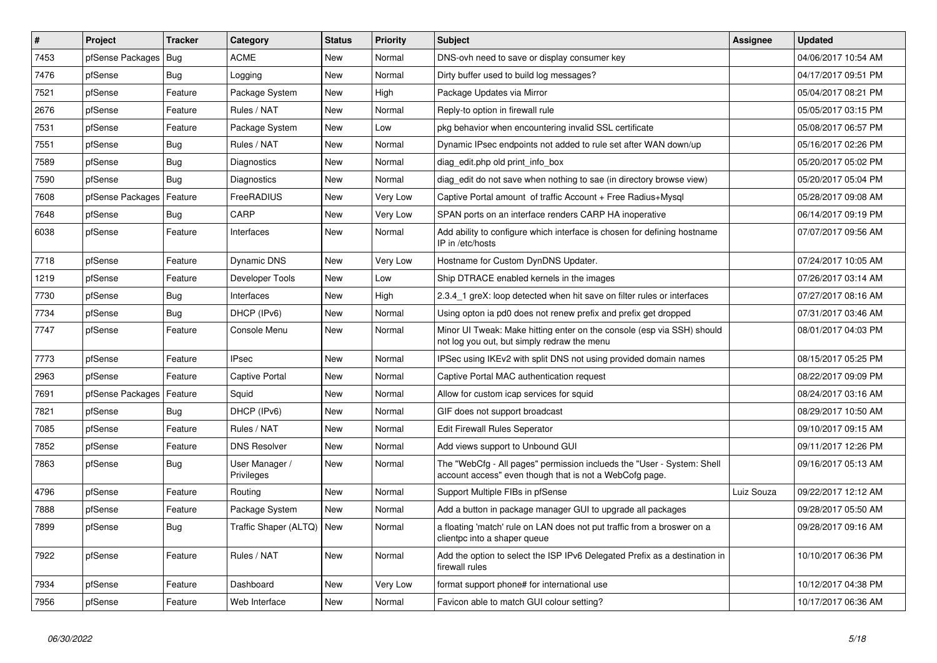| #    | Project                    | <b>Tracker</b> | Category                     | <b>Status</b> | <b>Priority</b> | <b>Subject</b>                                                                                                                    | <b>Assignee</b> | <b>Updated</b>      |
|------|----------------------------|----------------|------------------------------|---------------|-----------------|-----------------------------------------------------------------------------------------------------------------------------------|-----------------|---------------------|
| 7453 | pfSense Packages   Bug     |                | <b>ACME</b>                  | <b>New</b>    | Normal          | DNS-ovh need to save or display consumer key                                                                                      |                 | 04/06/2017 10:54 AM |
| 7476 | pfSense                    | Bug            | Logging                      | <b>New</b>    | Normal          | Dirty buffer used to build log messages?                                                                                          |                 | 04/17/2017 09:51 PM |
| 7521 | pfSense                    | Feature        | Package System               | <b>New</b>    | High            | Package Updates via Mirror                                                                                                        |                 | 05/04/2017 08:21 PM |
| 2676 | pfSense                    | Feature        | Rules / NAT                  | New           | Normal          | Reply-to option in firewall rule                                                                                                  |                 | 05/05/2017 03:15 PM |
| 7531 | pfSense                    | Feature        | Package System               | <b>New</b>    | Low             | pkg behavior when encountering invalid SSL certificate                                                                            |                 | 05/08/2017 06:57 PM |
| 7551 | pfSense                    | Bug            | Rules / NAT                  | <b>New</b>    | Normal          | Dynamic IPsec endpoints not added to rule set after WAN down/up                                                                   |                 | 05/16/2017 02:26 PM |
| 7589 | pfSense                    | Bug            | Diagnostics                  | <b>New</b>    | Normal          | diag edit.php old print info box                                                                                                  |                 | 05/20/2017 05:02 PM |
| 7590 | pfSense                    | Bug            | Diagnostics                  | New           | Normal          | diag edit do not save when nothing to sae (in directory browse view)                                                              |                 | 05/20/2017 05:04 PM |
| 7608 | pfSense Packages           | Feature        | FreeRADIUS                   | <b>New</b>    | Very Low        | Captive Portal amount of traffic Account + Free Radius+Mysql                                                                      |                 | 05/28/2017 09:08 AM |
| 7648 | pfSense                    | Bug            | CARP                         | <b>New</b>    | Very Low        | SPAN ports on an interface renders CARP HA inoperative                                                                            |                 | 06/14/2017 09:19 PM |
| 6038 | pfSense                    | Feature        | Interfaces                   | <b>New</b>    | Normal          | Add ability to configure which interface is chosen for defining hostname<br>IP in /etc/hosts                                      |                 | 07/07/2017 09:56 AM |
| 7718 | pfSense                    | Feature        | <b>Dynamic DNS</b>           | <b>New</b>    | Very Low        | Hostname for Custom DynDNS Updater.                                                                                               |                 | 07/24/2017 10:05 AM |
| 1219 | pfSense                    | Feature        | Developer Tools              | <b>New</b>    | Low             | Ship DTRACE enabled kernels in the images                                                                                         |                 | 07/26/2017 03:14 AM |
| 7730 | pfSense                    | Bug            | Interfaces                   | <b>New</b>    | High            | 2.3.4_1 greX: loop detected when hit save on filter rules or interfaces                                                           |                 | 07/27/2017 08:16 AM |
| 7734 | pfSense                    | Bug            | DHCP (IPv6)                  | <b>New</b>    | Normal          | Using opton ia pd0 does not renew prefix and prefix get dropped                                                                   |                 | 07/31/2017 03:46 AM |
| 7747 | pfSense                    | Feature        | Console Menu                 | New           | Normal          | Minor UI Tweak: Make hitting enter on the console (esp via SSH) should<br>not log you out, but simply redraw the menu             |                 | 08/01/2017 04:03 PM |
| 7773 | pfSense                    | Feature        | <b>IPsec</b>                 | New           | Normal          | IPSec using IKEv2 with split DNS not using provided domain names                                                                  |                 | 08/15/2017 05:25 PM |
| 2963 | pfSense                    | Feature        | <b>Captive Portal</b>        | New           | Normal          | Captive Portal MAC authentication request                                                                                         |                 | 08/22/2017 09:09 PM |
| 7691 | pfSense Packages   Feature |                | Squid                        | New           | Normal          | Allow for custom icap services for squid                                                                                          |                 | 08/24/2017 03:16 AM |
| 7821 | pfSense                    | Bug            | DHCP (IPv6)                  | New           | Normal          | GIF does not support broadcast                                                                                                    |                 | 08/29/2017 10:50 AM |
| 7085 | pfSense                    | Feature        | Rules / NAT                  | <b>New</b>    | Normal          | <b>Edit Firewall Rules Seperator</b>                                                                                              |                 | 09/10/2017 09:15 AM |
| 7852 | pfSense                    | Feature        | <b>DNS Resolver</b>          | New           | Normal          | Add views support to Unbound GUI                                                                                                  |                 | 09/11/2017 12:26 PM |
| 7863 | pfSense                    | Bug            | User Manager /<br>Privileges | New           | Normal          | The "WebCfg - All pages" permission inclueds the "User - System: Shell<br>account access" even though that is not a WebCofg page. |                 | 09/16/2017 05:13 AM |
| 4796 | pfSense                    | Feature        | Routing                      | New           | Normal          | Support Multiple FIBs in pfSense                                                                                                  | Luiz Souza      | 09/22/2017 12:12 AM |
| 7888 | pfSense                    | Feature        | Package System               | <b>New</b>    | Normal          | Add a button in package manager GUI to upgrade all packages                                                                       |                 | 09/28/2017 05:50 AM |
| 7899 | pfSense                    | Bug            | Traffic Shaper (ALTQ)   New  |               | Normal          | a floating 'match' rule on LAN does not put traffic from a broswer on a<br>clientpc into a shaper queue                           |                 | 09/28/2017 09:16 AM |
| 7922 | pfSense                    | Feature        | Rules / NAT                  | New           | Normal          | Add the option to select the ISP IPv6 Delegated Prefix as a destination in<br>firewall rules                                      |                 | 10/10/2017 06:36 PM |
| 7934 | pfSense                    | Feature        | Dashboard                    | <b>New</b>    | Very Low        | format support phone# for international use                                                                                       |                 | 10/12/2017 04:38 PM |
| 7956 | pfSense                    | Feature        | Web Interface                | New           | Normal          | Favicon able to match GUI colour setting?                                                                                         |                 | 10/17/2017 06:36 AM |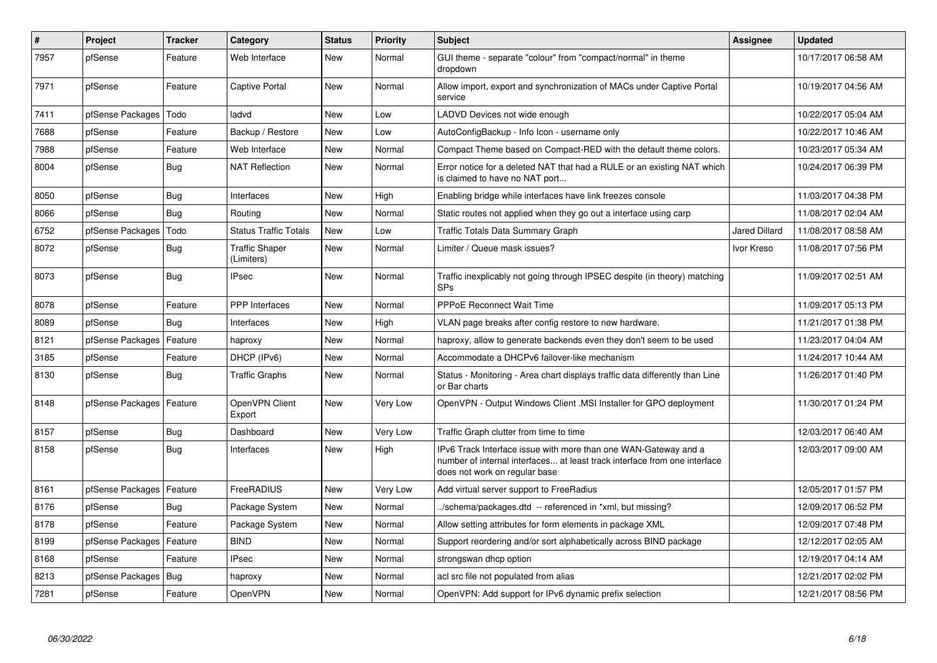| $\pmb{\#}$ | Project                    | <b>Tracker</b> | Category                            | <b>Status</b> | <b>Priority</b> | <b>Subject</b>                                                                                                                                                                | Assignee             | <b>Updated</b>      |
|------------|----------------------------|----------------|-------------------------------------|---------------|-----------------|-------------------------------------------------------------------------------------------------------------------------------------------------------------------------------|----------------------|---------------------|
| 7957       | pfSense                    | Feature        | Web Interface                       | <b>New</b>    | Normal          | GUI theme - separate "colour" from "compact/normal" in theme<br>dropdown                                                                                                      |                      | 10/17/2017 06:58 AM |
| 7971       | pfSense                    | Feature        | Captive Portal                      | New           | Normal          | Allow import, export and synchronization of MACs under Captive Portal<br>service                                                                                              |                      | 10/19/2017 04:56 AM |
| 7411       | pfSense Packages           | Todo           | ladvd                               | New           | Low             | LADVD Devices not wide enough                                                                                                                                                 |                      | 10/22/2017 05:04 AM |
| 7688       | pfSense                    | Feature        | Backup / Restore                    | <b>New</b>    | Low             | AutoConfigBackup - Info Icon - username only                                                                                                                                  |                      | 10/22/2017 10:46 AM |
| 7988       | pfSense                    | Feature        | Web Interface                       | <b>New</b>    | Normal          | Compact Theme based on Compact-RED with the default theme colors.                                                                                                             |                      | 10/23/2017 05:34 AM |
| 8004       | pfSense                    | <b>Bug</b>     | <b>NAT Reflection</b>               | <b>New</b>    | Normal          | Error notice for a deleted NAT that had a RULE or an existing NAT which<br>is claimed to have no NAT port                                                                     |                      | 10/24/2017 06:39 PM |
| 8050       | pfSense                    | <b>Bug</b>     | Interfaces                          | <b>New</b>    | High            | Enabling bridge while interfaces have link freezes console                                                                                                                    |                      | 11/03/2017 04:38 PM |
| 8066       | pfSense                    | <b>Bug</b>     | Routing                             | <b>New</b>    | Normal          | Static routes not applied when they go out a interface using carp                                                                                                             |                      | 11/08/2017 02:04 AM |
| 6752       | pfSense Packages           | Todo           | <b>Status Traffic Totals</b>        | <b>New</b>    | Low             | Traffic Totals Data Summary Graph                                                                                                                                             | <b>Jared Dillard</b> | 11/08/2017 08:58 AM |
| 8072       | pfSense                    | <b>Bug</b>     | <b>Traffic Shaper</b><br>(Limiters) | <b>New</b>    | Normal          | Limiter / Queue mask issues?                                                                                                                                                  | Ivor Kreso           | 11/08/2017 07:56 PM |
| 8073       | pfSense                    | Bug            | <b>IPsec</b>                        | <b>New</b>    | Normal          | Traffic inexplicably not going through IPSEC despite (in theory) matching<br><b>SPs</b>                                                                                       |                      | 11/09/2017 02:51 AM |
| 8078       | pfSense                    | Feature        | <b>PPP</b> Interfaces               | <b>New</b>    | Normal          | <b>PPPoE Reconnect Wait Time</b>                                                                                                                                              |                      | 11/09/2017 05:13 PM |
| 8089       | pfSense                    | Bug            | Interfaces                          | New           | High            | VLAN page breaks after config restore to new hardware.                                                                                                                        |                      | 11/21/2017 01:38 PM |
| 8121       | pfSense Packages           | Feature        | haproxy                             | New           | Normal          | haproxy, allow to generate backends even they don't seem to be used                                                                                                           |                      | 11/23/2017 04:04 AM |
| 3185       | pfSense                    | Feature        | DHCP (IPv6)                         | New           | Normal          | Accommodate a DHCPv6 failover-like mechanism                                                                                                                                  |                      | 11/24/2017 10:44 AM |
| 8130       | pfSense                    | <b>Bug</b>     | <b>Traffic Graphs</b>               | New           | Normal          | Status - Monitoring - Area chart displays traffic data differently than Line<br>or Bar charts                                                                                 |                      | 11/26/2017 01:40 PM |
| 8148       | pfSense Packages   Feature |                | OpenVPN Client<br>Export            | <b>New</b>    | Very Low        | OpenVPN - Output Windows Client .MSI Installer for GPO deployment                                                                                                             |                      | 11/30/2017 01:24 PM |
| 8157       | pfSense                    | Bug            | Dashboard                           | <b>New</b>    | Very Low        | Traffic Graph clutter from time to time                                                                                                                                       |                      | 12/03/2017 06:40 AM |
| 8158       | pfSense                    | <b>Bug</b>     | Interfaces                          | <b>New</b>    | High            | IPv6 Track Interface issue with more than one WAN-Gateway and a<br>number of internal interfaces at least track interface from one interface<br>does not work on regular base |                      | 12/03/2017 09:00 AM |
| 8161       | pfSense Packages           | Feature        | FreeRADIUS                          | <b>New</b>    | Very Low        | Add virtual server support to FreeRadius                                                                                                                                      |                      | 12/05/2017 01:57 PM |
| 8176       | pfSense                    | Bug            | Package System                      | New           | Normal          | ./schema/packages.dtd -- referenced in *xml, but missing?                                                                                                                     |                      | 12/09/2017 06:52 PM |
| 8178       | pfSense                    | Feature        | Package System                      | <b>New</b>    | Normal          | Allow setting attributes for form elements in package XML                                                                                                                     |                      | 12/09/2017 07:48 PM |
| 8199       | pfSense Packages           | Feature        | <b>BIND</b>                         | <b>New</b>    | Normal          | Support reordering and/or sort alphabetically across BIND package                                                                                                             |                      | 12/12/2017 02:05 AM |
| 8168       | pfSense                    | Feature        | IPsec                               | New           | Normal          | strongswan dhcp option                                                                                                                                                        |                      | 12/19/2017 04:14 AM |
| 8213       | pfSense Packages           | Bug            | haproxy                             | <b>New</b>    | Normal          | acl src file not populated from alias                                                                                                                                         |                      | 12/21/2017 02:02 PM |
| 7281       | pfSense                    | Feature        | OpenVPN                             | <b>New</b>    | Normal          | OpenVPN: Add support for IPv6 dynamic prefix selection                                                                                                                        |                      | 12/21/2017 08:56 PM |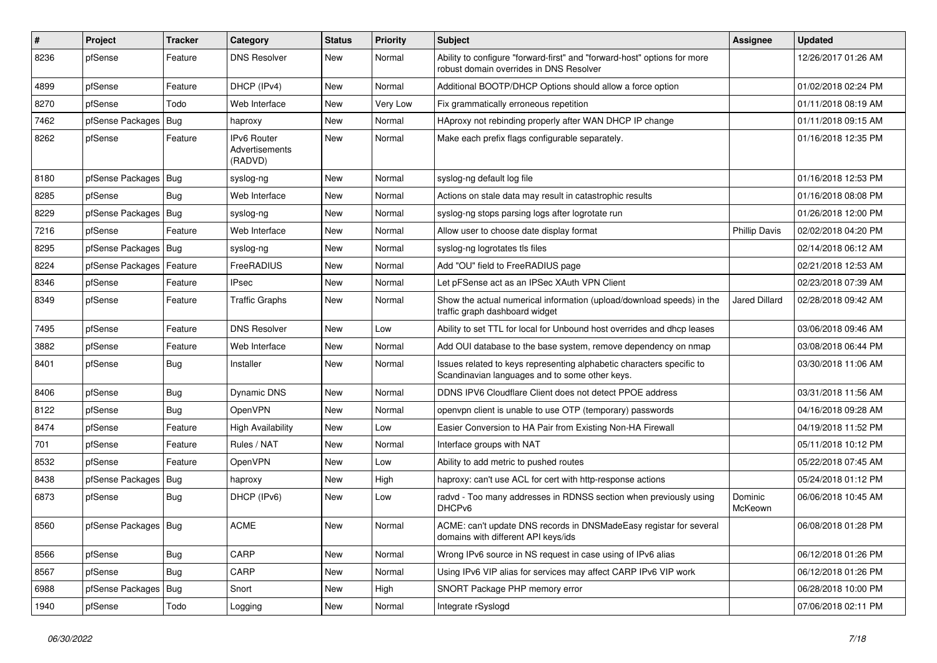| #    | Project                | Tracker    | Category                                 | <b>Status</b> | <b>Priority</b> | <b>Subject</b>                                                                                                          | Assignee             | <b>Updated</b>      |
|------|------------------------|------------|------------------------------------------|---------------|-----------------|-------------------------------------------------------------------------------------------------------------------------|----------------------|---------------------|
| 8236 | pfSense                | Feature    | <b>DNS Resolver</b>                      | <b>New</b>    | Normal          | Ability to configure "forward-first" and "forward-host" options for more<br>robust domain overrides in DNS Resolver     |                      | 12/26/2017 01:26 AM |
| 4899 | pfSense                | Feature    | DHCP (IPv4)                              | <b>New</b>    | Normal          | Additional BOOTP/DHCP Options should allow a force option                                                               |                      | 01/02/2018 02:24 PM |
| 8270 | pfSense                | Todo       | Web Interface                            | <b>New</b>    | Very Low        | Fix grammatically erroneous repetition                                                                                  |                      | 01/11/2018 08:19 AM |
| 7462 | pfSense Packages       | Bug        | haproxy                                  | <b>New</b>    | Normal          | HAproxy not rebinding properly after WAN DHCP IP change                                                                 |                      | 01/11/2018 09:15 AM |
| 8262 | pfSense                | Feature    | IPv6 Router<br>Advertisements<br>(RADVD) | <b>New</b>    | Normal          | Make each prefix flags configurable separately.                                                                         |                      | 01/16/2018 12:35 PM |
| 8180 | pfSense Packages       | Bug        | syslog-ng                                | New           | Normal          | syslog-ng default log file                                                                                              |                      | 01/16/2018 12:53 PM |
| 8285 | pfSense                | <b>Bug</b> | Web Interface                            | <b>New</b>    | Normal          | Actions on stale data may result in catastrophic results                                                                |                      | 01/16/2018 08:08 PM |
| 8229 | pfSense Packages       | Bug        | syslog-ng                                | <b>New</b>    | Normal          | syslog-ng stops parsing logs after logrotate run                                                                        |                      | 01/26/2018 12:00 PM |
| 7216 | pfSense                | Feature    | Web Interface                            | <b>New</b>    | Normal          | Allow user to choose date display format                                                                                | <b>Phillip Davis</b> | 02/02/2018 04:20 PM |
| 8295 | pfSense Packages       | Bug        | syslog-ng                                | <b>New</b>    | Normal          | syslog-ng logrotates tls files                                                                                          |                      | 02/14/2018 06:12 AM |
| 8224 | pfSense Packages       | Feature    | FreeRADIUS                               | <b>New</b>    | Normal          | Add "OU" field to FreeRADIUS page                                                                                       |                      | 02/21/2018 12:53 AM |
| 8346 | pfSense                | Feature    | <b>IPsec</b>                             | <b>New</b>    | Normal          | Let pFSense act as an IPSec XAuth VPN Client                                                                            |                      | 02/23/2018 07:39 AM |
| 8349 | pfSense                | Feature    | <b>Traffic Graphs</b>                    | <b>New</b>    | Normal          | Show the actual numerical information (upload/download speeds) in the<br>traffic graph dashboard widget                 | <b>Jared Dillard</b> | 02/28/2018 09:42 AM |
| 7495 | pfSense                | Feature    | <b>DNS Resolver</b>                      | <b>New</b>    | Low             | Ability to set TTL for local for Unbound host overrides and dhcp leases                                                 |                      | 03/06/2018 09:46 AM |
| 3882 | pfSense                | Feature    | Web Interface                            | <b>New</b>    | Normal          | Add OUI database to the base system, remove dependency on nmap                                                          |                      | 03/08/2018 06:44 PM |
| 8401 | pfSense                | <b>Bug</b> | Installer                                | <b>New</b>    | Normal          | Issues related to keys representing alphabetic characters specific to<br>Scandinavian languages and to some other keys. |                      | 03/30/2018 11:06 AM |
| 8406 | pfSense                | <b>Bug</b> | Dynamic DNS                              | <b>New</b>    | Normal          | DDNS IPV6 Cloudflare Client does not detect PPOE address                                                                |                      | 03/31/2018 11:56 AM |
| 8122 | pfSense                | Bug        | OpenVPN                                  | <b>New</b>    | Normal          | openypn client is unable to use OTP (temporary) passwords                                                               |                      | 04/16/2018 09:28 AM |
| 8474 | pfSense                | Feature    | <b>High Availability</b>                 | <b>New</b>    | Low             | Easier Conversion to HA Pair from Existing Non-HA Firewall                                                              |                      | 04/19/2018 11:52 PM |
| 701  | pfSense                | Feature    | Rules / NAT                              | <b>New</b>    | Normal          | Interface groups with NAT                                                                                               |                      | 05/11/2018 10:12 PM |
| 8532 | pfSense                | Feature    | <b>OpenVPN</b>                           | <b>New</b>    | Low             | Ability to add metric to pushed routes                                                                                  |                      | 05/22/2018 07:45 AM |
| 8438 | pfSense Packages       | <b>Bug</b> | haproxy                                  | <b>New</b>    | High            | haproxy: can't use ACL for cert with http-response actions                                                              |                      | 05/24/2018 01:12 PM |
| 6873 | pfSense                | <b>Bug</b> | DHCP (IPv6)                              | <b>New</b>    | Low             | radvd - Too many addresses in RDNSS section when previously using<br>DHCPv6                                             | Dominic<br>McKeown   | 06/06/2018 10:45 AM |
| 8560 | pfSense Packages   Bug |            | <b>ACME</b>                              | New           | Normal          | ACME: can't update DNS records in DNSMadeEasy registar for several<br>domains with different API keys/ids               |                      | 06/08/2018 01:28 PM |
| 8566 | pfSense                | <b>Bug</b> | CARP                                     | New           | Normal          | Wrong IPv6 source in NS request in case using of IPv6 alias                                                             |                      | 06/12/2018 01:26 PM |
| 8567 | pfSense                | Bug        | CARP                                     | New           | Normal          | Using IPv6 VIP alias for services may affect CARP IPv6 VIP work                                                         |                      | 06/12/2018 01:26 PM |
| 6988 | pfSense Packages       | Bug        | Snort                                    | New           | High            | SNORT Package PHP memory error                                                                                          |                      | 06/28/2018 10:00 PM |
| 1940 | pfSense                | Todo       | Logging                                  | New           | Normal          | Integrate rSyslogd                                                                                                      |                      | 07/06/2018 02:11 PM |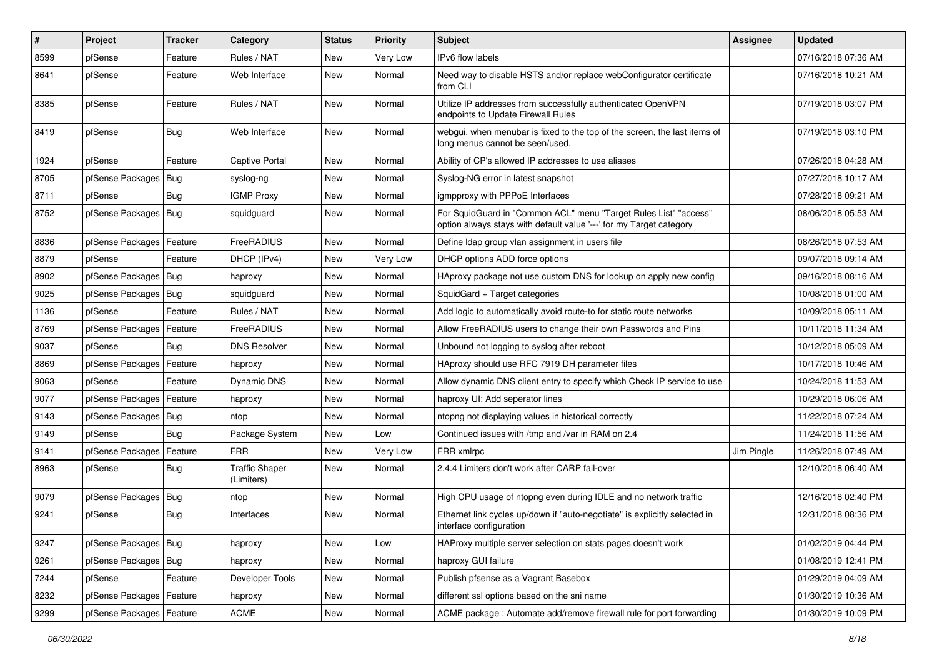| #    | Project                    | Tracker    | Category                            | <b>Status</b> | <b>Priority</b> | <b>Subject</b>                                                                                                                          | <b>Assignee</b> | <b>Updated</b>      |
|------|----------------------------|------------|-------------------------------------|---------------|-----------------|-----------------------------------------------------------------------------------------------------------------------------------------|-----------------|---------------------|
| 8599 | pfSense                    | Feature    | Rules / NAT                         | New           | Very Low        | IPv6 flow labels                                                                                                                        |                 | 07/16/2018 07:36 AM |
| 8641 | pfSense                    | Feature    | Web Interface                       | <b>New</b>    | Normal          | Need way to disable HSTS and/or replace webConfigurator certificate<br>from CLI                                                         |                 | 07/16/2018 10:21 AM |
| 8385 | pfSense                    | Feature    | Rules / NAT                         | <b>New</b>    | Normal          | Utilize IP addresses from successfully authenticated OpenVPN<br>endpoints to Update Firewall Rules                                      |                 | 07/19/2018 03:07 PM |
| 8419 | pfSense                    | Bug        | Web Interface                       | <b>New</b>    | Normal          | webgui, when menubar is fixed to the top of the screen, the last items of<br>long menus cannot be seen/used.                            |                 | 07/19/2018 03:10 PM |
| 1924 | pfSense                    | Feature    | Captive Portal                      | <b>New</b>    | Normal          | Ability of CP's allowed IP addresses to use aliases                                                                                     |                 | 07/26/2018 04:28 AM |
| 8705 | pfSense Packages           | Bug        | syslog-ng                           | <b>New</b>    | Normal          | Syslog-NG error in latest snapshot                                                                                                      |                 | 07/27/2018 10:17 AM |
| 8711 | pfSense                    | <b>Bug</b> | <b>IGMP Proxy</b>                   | <b>New</b>    | Normal          | igmpproxy with PPPoE Interfaces                                                                                                         |                 | 07/28/2018 09:21 AM |
| 8752 | pfSense Packages   Bug     |            | squidguard                          | <b>New</b>    | Normal          | For SquidGuard in "Common ACL" menu "Target Rules List" "access"<br>option always stays with default value '---' for my Target category |                 | 08/06/2018 05:53 AM |
| 8836 | pfSense Packages           | Feature    | FreeRADIUS                          | <b>New</b>    | Normal          | Define Idap group vlan assignment in users file                                                                                         |                 | 08/26/2018 07:53 AM |
| 8879 | pfSense                    | Feature    | DHCP (IPv4)                         | <b>New</b>    | Very Low        | DHCP options ADD force options                                                                                                          |                 | 09/07/2018 09:14 AM |
| 8902 | pfSense Packages   Bug     |            | haproxy                             | <b>New</b>    | Normal          | HAproxy package not use custom DNS for lookup on apply new config                                                                       |                 | 09/16/2018 08:16 AM |
| 9025 | pfSense Packages           | Bug        | squidguard                          | <b>New</b>    | Normal          | SquidGard + Target categories                                                                                                           |                 | 10/08/2018 01:00 AM |
| 1136 | pfSense                    | Feature    | Rules / NAT                         | <b>New</b>    | Normal          | Add logic to automatically avoid route-to for static route networks                                                                     |                 | 10/09/2018 05:11 AM |
| 8769 | pfSense Packages           | Feature    | FreeRADIUS                          | <b>New</b>    | Normal          | Allow FreeRADIUS users to change their own Passwords and Pins                                                                           |                 | 10/11/2018 11:34 AM |
| 9037 | pfSense                    | Bug        | <b>DNS Resolver</b>                 | <b>New</b>    | Normal          | Unbound not logging to syslog after reboot                                                                                              |                 | 10/12/2018 05:09 AM |
| 8869 | pfSense Packages           | Feature    | haproxy                             | <b>New</b>    | Normal          | HAproxy should use RFC 7919 DH parameter files                                                                                          |                 | 10/17/2018 10:46 AM |
| 9063 | pfSense                    | Feature    | Dynamic DNS                         | <b>New</b>    | Normal          | Allow dynamic DNS client entry to specify which Check IP service to use                                                                 |                 | 10/24/2018 11:53 AM |
| 9077 | pfSense Packages   Feature |            | haproxy                             | New           | Normal          | haproxy UI: Add seperator lines                                                                                                         |                 | 10/29/2018 06:06 AM |
| 9143 | pfSense Packages           | Bug        | ntop                                | <b>New</b>    | Normal          | ntopng not displaying values in historical correctly                                                                                    |                 | 11/22/2018 07:24 AM |
| 9149 | pfSense                    | Bug        | Package System                      | New           | Low             | Continued issues with /tmp and /var in RAM on 2.4                                                                                       |                 | 11/24/2018 11:56 AM |
| 9141 | pfSense Packages   Feature |            | <b>FRR</b>                          | <b>New</b>    | Very Low        | FRR xmlrpc                                                                                                                              | Jim Pingle      | 11/26/2018 07:49 AM |
| 8963 | pfSense                    | <b>Bug</b> | <b>Traffic Shaper</b><br>(Limiters) | <b>New</b>    | Normal          | 2.4.4 Limiters don't work after CARP fail-over                                                                                          |                 | 12/10/2018 06:40 AM |
| 9079 | pfSense Packages           | Bug        | ntop                                | New           | Normal          | High CPU usage of ntopng even during IDLE and no network traffic                                                                        |                 | 12/16/2018 02:40 PM |
| 9241 | pfSense                    | <b>Bug</b> | Interfaces                          | <b>New</b>    | Normal          | Ethernet link cycles up/down if "auto-negotiate" is explicitly selected in<br>interface configuration                                   |                 | 12/31/2018 08:36 PM |
| 9247 | pfSense Packages   Bug     |            | haproxy                             | New           | Low             | HAProxy multiple server selection on stats pages doesn't work                                                                           |                 | 01/02/2019 04:44 PM |
| 9261 | pfSense Packages           | Bug        | haproxy                             | New           | Normal          | haproxy GUI failure                                                                                                                     |                 | 01/08/2019 12:41 PM |
| 7244 | pfSense                    | Feature    | Developer Tools                     | New           | Normal          | Publish pfsense as a Vagrant Basebox                                                                                                    |                 | 01/29/2019 04:09 AM |
| 8232 | pfSense Packages           | Feature    | haproxy                             | New           | Normal          | different ssl options based on the sni name                                                                                             |                 | 01/30/2019 10:36 AM |
| 9299 | pfSense Packages           | Feature    | ACME                                | New           | Normal          | ACME package : Automate add/remove firewall rule for port forwarding                                                                    |                 | 01/30/2019 10:09 PM |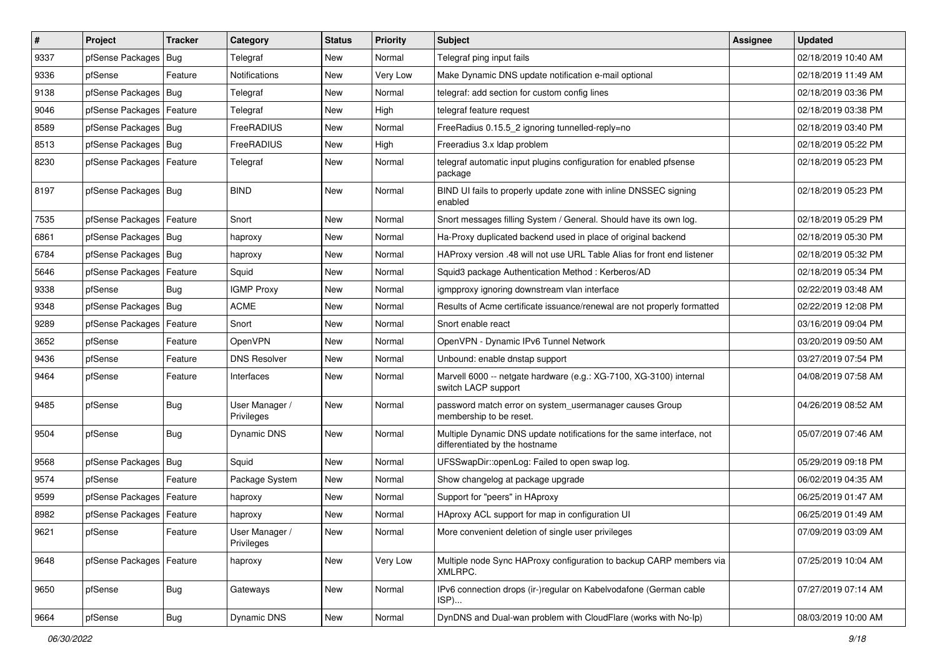| $\vert$ # | Project                    | <b>Tracker</b> | Category                     | <b>Status</b> | <b>Priority</b> | <b>Subject</b>                                                                                          | <b>Assignee</b> | <b>Updated</b>      |
|-----------|----------------------------|----------------|------------------------------|---------------|-----------------|---------------------------------------------------------------------------------------------------------|-----------------|---------------------|
| 9337      | pfSense Packages           | Bug            | Telegraf                     | New           | Normal          | Telegraf ping input fails                                                                               |                 | 02/18/2019 10:40 AM |
| 9336      | pfSense                    | Feature        | Notifications                | New           | Very Low        | Make Dynamic DNS update notification e-mail optional                                                    |                 | 02/18/2019 11:49 AM |
| 9138      | pfSense Packages           | Bug            | Telegraf                     | <b>New</b>    | Normal          | telegraf: add section for custom config lines                                                           |                 | 02/18/2019 03:36 PM |
| 9046      | pfSense Packages   Feature |                | Telegraf                     | <b>New</b>    | High            | telegraf feature request                                                                                |                 | 02/18/2019 03:38 PM |
| 8589      | pfSense Packages           | Bug            | FreeRADIUS                   | <b>New</b>    | Normal          | FreeRadius 0.15.5_2 ignoring tunnelled-reply=no                                                         |                 | 02/18/2019 03:40 PM |
| 8513      | pfSense Packages   Bug     |                | FreeRADIUS                   | <b>New</b>    | High            | Freeradius 3.x Idap problem                                                                             |                 | 02/18/2019 05:22 PM |
| 8230      | pfSense Packages   Feature |                | Telegraf                     | <b>New</b>    | Normal          | telegraf automatic input plugins configuration for enabled pfsense<br>package                           |                 | 02/18/2019 05:23 PM |
| 8197      | pfSense Packages   Bug     |                | <b>BIND</b>                  | <b>New</b>    | Normal          | BIND UI fails to properly update zone with inline DNSSEC signing<br>enabled                             |                 | 02/18/2019 05:23 PM |
| 7535      | pfSense Packages           | Feature        | Snort                        | <b>New</b>    | Normal          | Snort messages filling System / General. Should have its own log.                                       |                 | 02/18/2019 05:29 PM |
| 6861      | pfSense Packages   Bug     |                | haproxy                      | <b>New</b>    | Normal          | Ha-Proxy duplicated backend used in place of original backend                                           |                 | 02/18/2019 05:30 PM |
| 6784      | pfSense Packages           | Bug            | haproxy                      | New           | Normal          | HAProxy version .48 will not use URL Table Alias for front end listener                                 |                 | 02/18/2019 05:32 PM |
| 5646      | pfSense Packages           | Feature        | Squid                        | <b>New</b>    | Normal          | Squid3 package Authentication Method: Kerberos/AD                                                       |                 | 02/18/2019 05:34 PM |
| 9338      | pfSense                    | Bug            | <b>IGMP Proxy</b>            | <b>New</b>    | Normal          | igmpproxy ignoring downstream vlan interface                                                            |                 | 02/22/2019 03:48 AM |
| 9348      | pfSense Packages           | Bug            | ACME                         | <b>New</b>    | Normal          | Results of Acme certificate issuance/renewal are not properly formatted                                 |                 | 02/22/2019 12:08 PM |
| 9289      | pfSense Packages           | Feature        | Snort                        | <b>New</b>    | Normal          | Snort enable react                                                                                      |                 | 03/16/2019 09:04 PM |
| 3652      | pfSense                    | Feature        | OpenVPN                      | <b>New</b>    | Normal          | OpenVPN - Dynamic IPv6 Tunnel Network                                                                   |                 | 03/20/2019 09:50 AM |
| 9436      | pfSense                    | Feature        | <b>DNS Resolver</b>          | <b>New</b>    | Normal          | Unbound: enable dnstap support                                                                          |                 | 03/27/2019 07:54 PM |
| 9464      | pfSense                    | Feature        | Interfaces                   | <b>New</b>    | Normal          | Marvell 6000 -- netgate hardware (e.g.: XG-7100, XG-3100) internal<br>switch LACP support               |                 | 04/08/2019 07:58 AM |
| 9485      | pfSense                    | Bug            | User Manager /<br>Privileges | <b>New</b>    | Normal          | password match error on system usermanager causes Group<br>membership to be reset.                      |                 | 04/26/2019 08:52 AM |
| 9504      | pfSense                    | <b>Bug</b>     | Dynamic DNS                  | New           | Normal          | Multiple Dynamic DNS update notifications for the same interface, not<br>differentiated by the hostname |                 | 05/07/2019 07:46 AM |
| 9568      | pfSense Packages           | Bug            | Squid                        | <b>New</b>    | Normal          | UFSSwapDir::openLog: Failed to open swap log.                                                           |                 | 05/29/2019 09:18 PM |
| 9574      | pfSense                    | Feature        | Package System               | New           | Normal          | Show changelog at package upgrade                                                                       |                 | 06/02/2019 04:35 AM |
| 9599      | pfSense Packages           | Feature        | haproxy                      | <b>New</b>    | Normal          | Support for "peers" in HAproxy                                                                          |                 | 06/25/2019 01:47 AM |
| 8982      | pfSense Packages           | Feature        | haproxy                      | New           | Normal          | HAproxy ACL support for map in configuration UI                                                         |                 | 06/25/2019 01:49 AM |
| 9621      | pfSense                    | Feature        | User Manager /<br>Privileges | New           | Normal          | More convenient deletion of single user privileges                                                      |                 | 07/09/2019 03:09 AM |
| 9648      | pfSense Packages   Feature |                | haproxy                      | New           | Very Low        | Multiple node Sync HAProxy configuration to backup CARP members via<br>XMLRPC.                          |                 | 07/25/2019 10:04 AM |
| 9650      | pfSense                    | <b>Bug</b>     | Gateways                     | New           | Normal          | IPv6 connection drops (ir-)regular on Kabelvodafone (German cable<br>ISP)                               |                 | 07/27/2019 07:14 AM |
| 9664      | pfSense                    | Bug            | Dynamic DNS                  | New           | Normal          | DynDNS and Dual-wan problem with CloudFlare (works with No-Ip)                                          |                 | 08/03/2019 10:00 AM |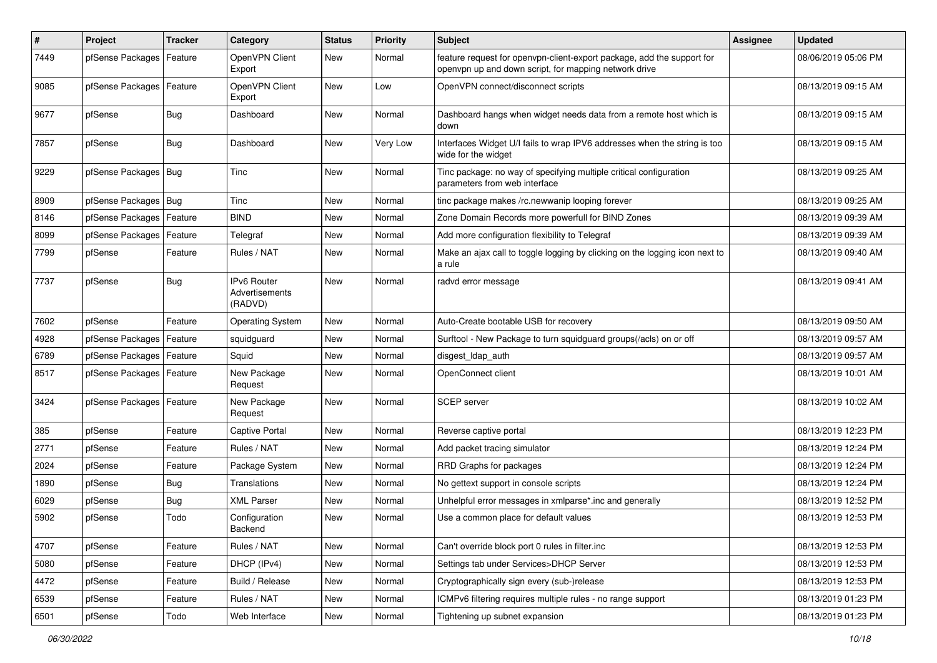| $\pmb{\#}$ | Project                    | <b>Tracker</b> | Category                                        | <b>Status</b> | <b>Priority</b> | <b>Subject</b>                                                                                                                  | <b>Assignee</b> | <b>Updated</b>      |
|------------|----------------------------|----------------|-------------------------------------------------|---------------|-----------------|---------------------------------------------------------------------------------------------------------------------------------|-----------------|---------------------|
| 7449       | pfSense Packages           | Feature        | OpenVPN Client<br>Export                        | New           | Normal          | feature request for openvpn-client-export package, add the support for<br>openvpn up and down script, for mapping network drive |                 | 08/06/2019 05:06 PM |
| 9085       | pfSense Packages           | Feature        | OpenVPN Client<br>Export                        | <b>New</b>    | Low             | OpenVPN connect/disconnect scripts                                                                                              |                 | 08/13/2019 09:15 AM |
| 9677       | pfSense                    | <b>Bug</b>     | Dashboard                                       | <b>New</b>    | Normal          | Dashboard hangs when widget needs data from a remote host which is<br>down                                                      |                 | 08/13/2019 09:15 AM |
| 7857       | pfSense                    | Bug            | Dashboard                                       | New           | Very Low        | Interfaces Widget U/I fails to wrap IPV6 addresses when the string is too<br>wide for the widget                                |                 | 08/13/2019 09:15 AM |
| 9229       | pfSense Packages   Bug     |                | Tinc                                            | <b>New</b>    | Normal          | Tinc package: no way of specifying multiple critical configuration<br>parameters from web interface                             |                 | 08/13/2019 09:25 AM |
| 8909       | pfSense Packages   Bug     |                | Tinc                                            | New           | Normal          | tinc package makes /rc.newwanip looping forever                                                                                 |                 | 08/13/2019 09:25 AM |
| 8146       | pfSense Packages           | Feature        | <b>BIND</b>                                     | New           | Normal          | Zone Domain Records more powerfull for BIND Zones                                                                               |                 | 08/13/2019 09:39 AM |
| 8099       | pfSense Packages           | Feature        | Telegraf                                        | <b>New</b>    | Normal          | Add more configuration flexibility to Telegraf                                                                                  |                 | 08/13/2019 09:39 AM |
| 7799       | pfSense                    | Feature        | Rules / NAT                                     | New           | Normal          | Make an ajax call to toggle logging by clicking on the logging icon next to<br>a rule                                           |                 | 08/13/2019 09:40 AM |
| 7737       | pfSense                    | <b>Bug</b>     | <b>IPv6 Router</b><br>Advertisements<br>(RADVD) | New           | Normal          | radvd error message                                                                                                             |                 | 08/13/2019 09:41 AM |
| 7602       | pfSense                    | Feature        | <b>Operating System</b>                         | <b>New</b>    | Normal          | Auto-Create bootable USB for recovery                                                                                           |                 | 08/13/2019 09:50 AM |
| 4928       | pfSense Packages           | Feature        | squidguard                                      | New           | Normal          | Surftool - New Package to turn squidguard groups(/acls) on or off                                                               |                 | 08/13/2019 09:57 AM |
| 6789       | pfSense Packages           | Feature        | Squid                                           | <b>New</b>    | Normal          | disgest_ldap_auth                                                                                                               |                 | 08/13/2019 09:57 AM |
| 8517       | pfSense Packages   Feature |                | New Package<br>Request                          | New           | Normal          | OpenConnect client                                                                                                              |                 | 08/13/2019 10:01 AM |
| 3424       | pfSense Packages   Feature |                | New Package<br>Request                          | New           | Normal          | SCEP server                                                                                                                     |                 | 08/13/2019 10:02 AM |
| 385        | pfSense                    | Feature        | Captive Portal                                  | <b>New</b>    | Normal          | Reverse captive portal                                                                                                          |                 | 08/13/2019 12:23 PM |
| 2771       | pfSense                    | Feature        | Rules / NAT                                     | New           | Normal          | Add packet tracing simulator                                                                                                    |                 | 08/13/2019 12:24 PM |
| 2024       | pfSense                    | Feature        | Package System                                  | New           | Normal          | RRD Graphs for packages                                                                                                         |                 | 08/13/2019 12:24 PM |
| 1890       | pfSense                    | <b>Bug</b>     | Translations                                    | <b>New</b>    | Normal          | No gettext support in console scripts                                                                                           |                 | 08/13/2019 12:24 PM |
| 6029       | pfSense                    | <b>Bug</b>     | XML Parser                                      | New           | Normal          | Unhelpful error messages in xmlparse*.inc and generally                                                                         |                 | 08/13/2019 12:52 PM |
| 5902       | pfSense                    | Todo           | Configuration<br>Backend                        | New           | Normal          | Use a common place for default values                                                                                           |                 | 08/13/2019 12:53 PM |
| 4707       | pfSense                    | Feature        | Rules / NAT                                     | New           | Normal          | Can't override block port 0 rules in filter.inc                                                                                 |                 | 08/13/2019 12:53 PM |
| 5080       | pfSense                    | Feature        | DHCP (IPv4)                                     | New           | Normal          | Settings tab under Services>DHCP Server                                                                                         |                 | 08/13/2019 12:53 PM |
| 4472       | pfSense                    | Feature        | Build / Release                                 | New           | Normal          | Cryptographically sign every (sub-)release                                                                                      |                 | 08/13/2019 12:53 PM |
| 6539       | pfSense                    | Feature        | Rules / NAT                                     | New           | Normal          | ICMPv6 filtering requires multiple rules - no range support                                                                     |                 | 08/13/2019 01:23 PM |
| 6501       | pfSense                    | Todo           | Web Interface                                   | New           | Normal          | Tightening up subnet expansion                                                                                                  |                 | 08/13/2019 01:23 PM |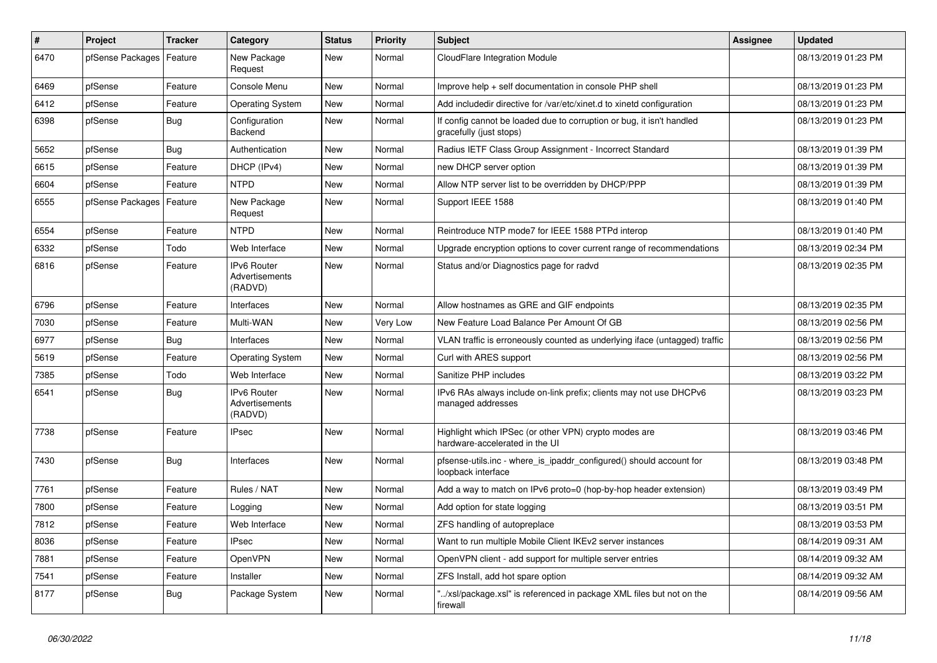| $\vert$ # | Project          | <b>Tracker</b> | Category                                        | <b>Status</b> | <b>Priority</b> | <b>Subject</b>                                                                                   | <b>Assignee</b> | <b>Updated</b>      |
|-----------|------------------|----------------|-------------------------------------------------|---------------|-----------------|--------------------------------------------------------------------------------------------------|-----------------|---------------------|
| 6470      | pfSense Packages | Feature        | New Package<br>Request                          | <b>New</b>    | Normal          | CloudFlare Integration Module                                                                    |                 | 08/13/2019 01:23 PM |
| 6469      | pfSense          | Feature        | Console Menu                                    | <b>New</b>    | Normal          | Improve help + self documentation in console PHP shell                                           |                 | 08/13/2019 01:23 PM |
| 6412      | pfSense          | Feature        | <b>Operating System</b>                         | <b>New</b>    | Normal          | Add includedir directive for /var/etc/xinet.d to xinetd configuration                            |                 | 08/13/2019 01:23 PM |
| 6398      | pfSense          | <b>Bug</b>     | Configuration<br>Backend                        | <b>New</b>    | Normal          | If config cannot be loaded due to corruption or bug, it isn't handled<br>gracefully (just stops) |                 | 08/13/2019 01:23 PM |
| 5652      | pfSense          | Bug            | Authentication                                  | <b>New</b>    | Normal          | Radius IETF Class Group Assignment - Incorrect Standard                                          |                 | 08/13/2019 01:39 PM |
| 6615      | pfSense          | Feature        | DHCP (IPv4)                                     | <b>New</b>    | Normal          | new DHCP server option                                                                           |                 | 08/13/2019 01:39 PM |
| 6604      | pfSense          | Feature        | <b>NTPD</b>                                     | <b>New</b>    | Normal          | Allow NTP server list to be overridden by DHCP/PPP                                               |                 | 08/13/2019 01:39 PM |
| 6555      | pfSense Packages | Feature        | New Package<br>Request                          | <b>New</b>    | Normal          | Support IEEE 1588                                                                                |                 | 08/13/2019 01:40 PM |
| 6554      | pfSense          | Feature        | <b>NTPD</b>                                     | <b>New</b>    | Normal          | Reintroduce NTP mode7 for IEEE 1588 PTPd interop                                                 |                 | 08/13/2019 01:40 PM |
| 6332      | pfSense          | Todo           | Web Interface                                   | <b>New</b>    | Normal          | Upgrade encryption options to cover current range of recommendations                             |                 | 08/13/2019 02:34 PM |
| 6816      | pfSense          | Feature        | IPv6 Router<br>Advertisements<br>(RADVD)        | New           | Normal          | Status and/or Diagnostics page for radvd                                                         |                 | 08/13/2019 02:35 PM |
| 6796      | pfSense          | Feature        | Interfaces                                      | <b>New</b>    | Normal          | Allow hostnames as GRE and GIF endpoints                                                         |                 | 08/13/2019 02:35 PM |
| 7030      | pfSense          | Feature        | Multi-WAN                                       | <b>New</b>    | Very Low        | New Feature Load Balance Per Amount Of GB                                                        |                 | 08/13/2019 02:56 PM |
| 6977      | pfSense          | Bug            | Interfaces                                      | <b>New</b>    | Normal          | VLAN traffic is erroneously counted as underlying iface (untagged) traffic                       |                 | 08/13/2019 02:56 PM |
| 5619      | pfSense          | Feature        | <b>Operating System</b>                         | New           | Normal          | Curl with ARES support                                                                           |                 | 08/13/2019 02:56 PM |
| 7385      | pfSense          | Todo           | Web Interface                                   | New           | Normal          | Sanitize PHP includes                                                                            |                 | 08/13/2019 03:22 PM |
| 6541      | pfSense          | Bug            | <b>IPv6 Router</b><br>Advertisements<br>(RADVD) | <b>New</b>    | Normal          | IPv6 RAs always include on-link prefix; clients may not use DHCPv6<br>managed addresses          |                 | 08/13/2019 03:23 PM |
| 7738      | pfSense          | Feature        | <b>IPsec</b>                                    | <b>New</b>    | Normal          | Highlight which IPSec (or other VPN) crypto modes are<br>hardware-accelerated in the UI          |                 | 08/13/2019 03:46 PM |
| 7430      | pfSense          | Bug            | Interfaces                                      | <b>New</b>    | Normal          | pfsense-utils.inc - where is ipaddr configured() should account for<br>loopback interface        |                 | 08/13/2019 03:48 PM |
| 7761      | pfSense          | Feature        | Rules / NAT                                     | <b>New</b>    | Normal          | Add a way to match on IPv6 proto=0 (hop-by-hop header extension)                                 |                 | 08/13/2019 03:49 PM |
| 7800      | pfSense          | Feature        | Logging                                         | New           | Normal          | Add option for state logging                                                                     |                 | 08/13/2019 03:51 PM |
| 7812      | pfSense          | Feature        | Web Interface                                   | <b>New</b>    | Normal          | ZFS handling of autopreplace                                                                     |                 | 08/13/2019 03:53 PM |
| 8036      | pfSense          | Feature        | <b>IPsec</b>                                    | <b>New</b>    | Normal          | Want to run multiple Mobile Client IKEv2 server instances                                        |                 | 08/14/2019 09:31 AM |
| 7881      | pfSense          | Feature        | <b>OpenVPN</b>                                  | <b>New</b>    | Normal          | OpenVPN client - add support for multiple server entries                                         |                 | 08/14/2019 09:32 AM |
| 7541      | pfSense          | Feature        | Installer                                       | <b>New</b>    | Normal          | ZFS Install, add hot spare option                                                                |                 | 08/14/2019 09:32 AM |
| 8177      | pfSense          | <b>Bug</b>     | Package System                                  | New           | Normal          | '/xsl/package.xsl" is referenced in package XML files but not on the<br>firewall                 |                 | 08/14/2019 09:56 AM |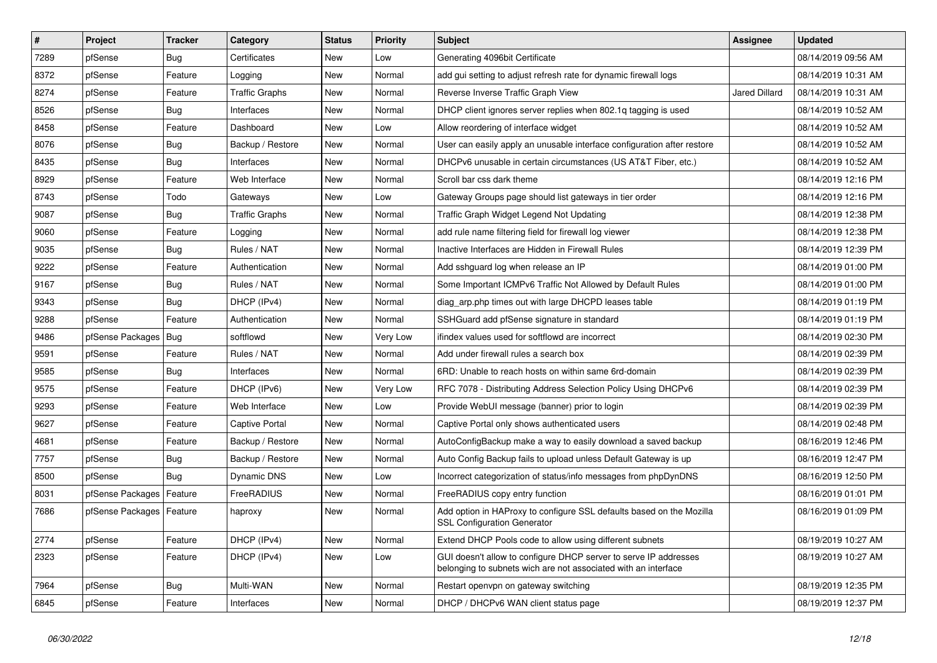| $\sharp$ | Project                    | <b>Tracker</b> | Category              | <b>Status</b> | Priority | <b>Subject</b>                                                                                                                     | Assignee             | <b>Updated</b>      |
|----------|----------------------------|----------------|-----------------------|---------------|----------|------------------------------------------------------------------------------------------------------------------------------------|----------------------|---------------------|
| 7289     | pfSense                    | Bug            | Certificates          | <b>New</b>    | Low      | Generating 4096bit Certificate                                                                                                     |                      | 08/14/2019 09:56 AM |
| 8372     | pfSense                    | Feature        | Logging               | <b>New</b>    | Normal   | add gui setting to adjust refresh rate for dynamic firewall logs                                                                   |                      | 08/14/2019 10:31 AM |
| 8274     | pfSense                    | Feature        | Traffic Graphs        | New           | Normal   | Reverse Inverse Traffic Graph View                                                                                                 | <b>Jared Dillard</b> | 08/14/2019 10:31 AM |
| 8526     | pfSense                    | <b>Bug</b>     | Interfaces            | <b>New</b>    | Normal   | DHCP client ignores server replies when 802.1q tagging is used                                                                     |                      | 08/14/2019 10:52 AM |
| 8458     | pfSense                    | Feature        | Dashboard             | <b>New</b>    | Low      | Allow reordering of interface widget                                                                                               |                      | 08/14/2019 10:52 AM |
| 8076     | pfSense                    | <b>Bug</b>     | Backup / Restore      | <b>New</b>    | Normal   | User can easily apply an unusable interface configuration after restore                                                            |                      | 08/14/2019 10:52 AM |
| 8435     | pfSense                    | <b>Bug</b>     | Interfaces            | <b>New</b>    | Normal   | DHCPv6 unusable in certain circumstances (US AT&T Fiber, etc.)                                                                     |                      | 08/14/2019 10:52 AM |
| 8929     | pfSense                    | Feature        | Web Interface         | <b>New</b>    | Normal   | Scroll bar css dark theme                                                                                                          |                      | 08/14/2019 12:16 PM |
| 8743     | pfSense                    | Todo           | Gateways              | <b>New</b>    | Low      | Gateway Groups page should list gateways in tier order                                                                             |                      | 08/14/2019 12:16 PM |
| 9087     | pfSense                    | Bug            | <b>Traffic Graphs</b> | <b>New</b>    | Normal   | Traffic Graph Widget Legend Not Updating                                                                                           |                      | 08/14/2019 12:38 PM |
| 9060     | pfSense                    | Feature        | Logging               | New           | Normal   | add rule name filtering field for firewall log viewer                                                                              |                      | 08/14/2019 12:38 PM |
| 9035     | pfSense                    | Bug            | Rules / NAT           | <b>New</b>    | Normal   | Inactive Interfaces are Hidden in Firewall Rules                                                                                   |                      | 08/14/2019 12:39 PM |
| 9222     | pfSense                    | Feature        | Authentication        | <b>New</b>    | Normal   | Add sshguard log when release an IP                                                                                                |                      | 08/14/2019 01:00 PM |
| 9167     | pfSense                    | <b>Bug</b>     | Rules / NAT           | <b>New</b>    | Normal   | Some Important ICMPv6 Traffic Not Allowed by Default Rules                                                                         |                      | 08/14/2019 01:00 PM |
| 9343     | pfSense                    | Bug            | DHCP (IPv4)           | <b>New</b>    | Normal   | diag_arp.php times out with large DHCPD leases table                                                                               |                      | 08/14/2019 01:19 PM |
| 9288     | pfSense                    | Feature        | Authentication        | <b>New</b>    | Normal   | SSHGuard add pfSense signature in standard                                                                                         |                      | 08/14/2019 01:19 PM |
| 9486     | pfSense Packages           | Bug            | softflowd             | <b>New</b>    | Very Low | ifindex values used for softflowd are incorrect                                                                                    |                      | 08/14/2019 02:30 PM |
| 9591     | pfSense                    | Feature        | Rules / NAT           | <b>New</b>    | Normal   | Add under firewall rules a search box                                                                                              |                      | 08/14/2019 02:39 PM |
| 9585     | pfSense                    | Bug            | Interfaces            | <b>New</b>    | Normal   | 6RD: Unable to reach hosts on within same 6rd-domain                                                                               |                      | 08/14/2019 02:39 PM |
| 9575     | pfSense                    | Feature        | DHCP (IPv6)           | New           | Very Low | RFC 7078 - Distributing Address Selection Policy Using DHCPv6                                                                      |                      | 08/14/2019 02:39 PM |
| 9293     | pfSense                    | Feature        | Web Interface         | <b>New</b>    | Low      | Provide WebUI message (banner) prior to login                                                                                      |                      | 08/14/2019 02:39 PM |
| 9627     | pfSense                    | Feature        | <b>Captive Portal</b> | <b>New</b>    | Normal   | Captive Portal only shows authenticated users                                                                                      |                      | 08/14/2019 02:48 PM |
| 4681     | pfSense                    | Feature        | Backup / Restore      | <b>New</b>    | Normal   | AutoConfigBackup make a way to easily download a saved backup                                                                      |                      | 08/16/2019 12:46 PM |
| 7757     | pfSense                    | Bug            | Backup / Restore      | New           | Normal   | Auto Config Backup fails to upload unless Default Gateway is up                                                                    |                      | 08/16/2019 12:47 PM |
| 8500     | pfSense                    | <b>Bug</b>     | Dynamic DNS           | <b>New</b>    | Low      | Incorrect categorization of status/info messages from phpDynDNS                                                                    |                      | 08/16/2019 12:50 PM |
| 8031     | pfSense Packages           | Feature        | FreeRADIUS            | <b>New</b>    | Normal   | FreeRADIUS copy entry function                                                                                                     |                      | 08/16/2019 01:01 PM |
| 7686     | pfSense Packages   Feature |                | haproxy               | <b>New</b>    | Normal   | Add option in HAProxy to configure SSL defaults based on the Mozilla<br><b>SSL Configuration Generator</b>                         |                      | 08/16/2019 01:09 PM |
| 2774     | pfSense                    | Feature        | DHCP (IPv4)           | <b>New</b>    | Normal   | Extend DHCP Pools code to allow using different subnets                                                                            |                      | 08/19/2019 10:27 AM |
| 2323     | pfSense                    | Feature        | DHCP (IPv4)           | <b>New</b>    | Low      | GUI doesn't allow to configure DHCP server to serve IP addresses<br>belonging to subnets wich are not associated with an interface |                      | 08/19/2019 10:27 AM |
| 7964     | pfSense                    | <b>Bug</b>     | Multi-WAN             | <b>New</b>    | Normal   | Restart openvpn on gateway switching                                                                                               |                      | 08/19/2019 12:35 PM |
| 6845     | pfSense                    | Feature        | Interfaces            | <b>New</b>    | Normal   | DHCP / DHCPv6 WAN client status page                                                                                               |                      | 08/19/2019 12:37 PM |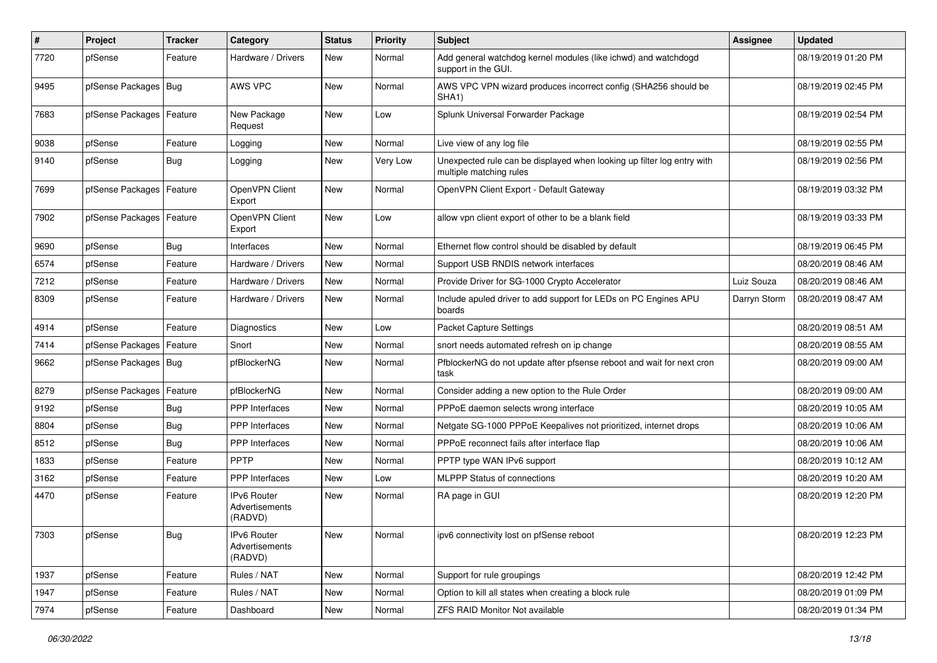| ∦    | Project                    | <b>Tracker</b> | Category                                 | <b>Status</b> | <b>Priority</b> | <b>Subject</b>                                                                                    | Assignee     | <b>Updated</b>      |
|------|----------------------------|----------------|------------------------------------------|---------------|-----------------|---------------------------------------------------------------------------------------------------|--------------|---------------------|
| 7720 | pfSense                    | Feature        | Hardware / Drivers                       | New           | Normal          | Add general watchdog kernel modules (like ichwd) and watchdogd<br>support in the GUI.             |              | 08/19/2019 01:20 PM |
| 9495 | pfSense Packages           | Bug            | AWS VPC                                  | <b>New</b>    | Normal          | AWS VPC VPN wizard produces incorrect config (SHA256 should be<br>SHA <sub>1</sub> )              |              | 08/19/2019 02:45 PM |
| 7683 | pfSense Packages   Feature |                | New Package<br>Request                   | <b>New</b>    | Low             | Splunk Universal Forwarder Package                                                                |              | 08/19/2019 02:54 PM |
| 9038 | pfSense                    | Feature        | Logging                                  | <b>New</b>    | Normal          | Live view of any log file                                                                         |              | 08/19/2019 02:55 PM |
| 9140 | pfSense                    | Bug            | Logging                                  | <b>New</b>    | Very Low        | Unexpected rule can be displayed when looking up filter log entry with<br>multiple matching rules |              | 08/19/2019 02:56 PM |
| 7699 | pfSense Packages           | Feature        | OpenVPN Client<br>Export                 | <b>New</b>    | Normal          | OpenVPN Client Export - Default Gateway                                                           |              | 08/19/2019 03:32 PM |
| 7902 | pfSense Packages   Feature |                | OpenVPN Client<br>Export                 | <b>New</b>    | Low             | allow vpn client export of other to be a blank field                                              |              | 08/19/2019 03:33 PM |
| 9690 | pfSense                    | Bug            | Interfaces                               | <b>New</b>    | Normal          | Ethernet flow control should be disabled by default                                               |              | 08/19/2019 06:45 PM |
| 6574 | pfSense                    | Feature        | Hardware / Drivers                       | <b>New</b>    | Normal          | Support USB RNDIS network interfaces                                                              |              | 08/20/2019 08:46 AM |
| 7212 | pfSense                    | Feature        | Hardware / Drivers                       | New           | Normal          | Provide Driver for SG-1000 Crypto Accelerator                                                     | Luiz Souza   | 08/20/2019 08:46 AM |
| 8309 | pfSense                    | Feature        | Hardware / Drivers                       | <b>New</b>    | Normal          | Include apuled driver to add support for LEDs on PC Engines APU<br>boards                         | Darryn Storm | 08/20/2019 08:47 AM |
| 4914 | pfSense                    | Feature        | Diagnostics                              | New           | Low             | <b>Packet Capture Settings</b>                                                                    |              | 08/20/2019 08:51 AM |
| 7414 | pfSense Packages           | Feature        | Snort                                    | <b>New</b>    | Normal          | snort needs automated refresh on ip change                                                        |              | 08/20/2019 08:55 AM |
| 9662 | pfSense Packages   Bug     |                | pfBlockerNG                              | <b>New</b>    | Normal          | PfblockerNG do not update after pfsense reboot and wait for next cron<br>task                     |              | 08/20/2019 09:00 AM |
| 8279 | pfSense Packages           | Feature        | pfBlockerNG                              | <b>New</b>    | Normal          | Consider adding a new option to the Rule Order                                                    |              | 08/20/2019 09:00 AM |
| 9192 | pfSense                    | Bug            | PPP Interfaces                           | <b>New</b>    | Normal          | PPPoE daemon selects wrong interface                                                              |              | 08/20/2019 10:05 AM |
| 8804 | pfSense                    | Bug            | <b>PPP</b> Interfaces                    | New           | Normal          | Netgate SG-1000 PPPoE Keepalives not prioritized, internet drops                                  |              | 08/20/2019 10:06 AM |
| 8512 | pfSense                    | Bug            | PPP Interfaces                           | New           | Normal          | PPPoE reconnect fails after interface flap                                                        |              | 08/20/2019 10:06 AM |
| 1833 | pfSense                    | Feature        | PPTP                                     | New           | Normal          | PPTP type WAN IPv6 support                                                                        |              | 08/20/2019 10:12 AM |
| 3162 | pfSense                    | Feature        | <b>PPP</b> Interfaces                    | <b>New</b>    | Low             | <b>MLPPP Status of connections</b>                                                                |              | 08/20/2019 10:20 AM |
| 4470 | pfSense                    | Feature        | IPv6 Router<br>Advertisements<br>(RADVD) | <b>New</b>    | Normal          | RA page in GUI                                                                                    |              | 08/20/2019 12:20 PM |
| 7303 | pfSense                    | <b>Bug</b>     | IPv6 Router<br>Advertisements<br>(RADVD) | New           | Normal          | ipv6 connectivity lost on pfSense reboot                                                          |              | 08/20/2019 12:23 PM |
| 1937 | pfSense                    | Feature        | Rules / NAT                              | New           | Normal          | Support for rule groupings                                                                        |              | 08/20/2019 12:42 PM |
| 1947 | pfSense                    | Feature        | Rules / NAT                              | New           | Normal          | Option to kill all states when creating a block rule                                              |              | 08/20/2019 01:09 PM |
| 7974 | pfSense                    | Feature        | Dashboard                                | New           | Normal          | <b>ZFS RAID Monitor Not available</b>                                                             |              | 08/20/2019 01:34 PM |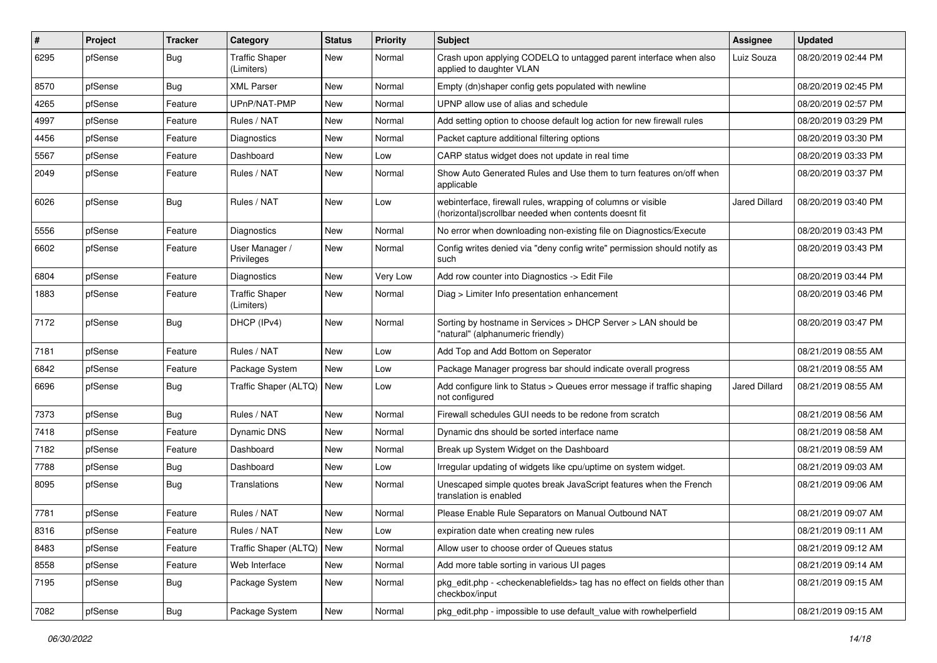| #    | Project | <b>Tracker</b> | Category                            | <b>Status</b> | <b>Priority</b> | <b>Subject</b>                                                                                                         | Assignee      | <b>Updated</b>      |
|------|---------|----------------|-------------------------------------|---------------|-----------------|------------------------------------------------------------------------------------------------------------------------|---------------|---------------------|
| 6295 | pfSense | Bug            | <b>Traffic Shaper</b><br>(Limiters) | <b>New</b>    | Normal          | Crash upon applying CODELQ to untagged parent interface when also<br>applied to daughter VLAN                          | Luiz Souza    | 08/20/2019 02:44 PM |
| 8570 | pfSense | Bug            | <b>XML Parser</b>                   | <b>New</b>    | Normal          | Empty (dn)shaper config gets populated with newline                                                                    |               | 08/20/2019 02:45 PM |
| 4265 | pfSense | Feature        | UPnP/NAT-PMP                        | <b>New</b>    | Normal          | UPNP allow use of alias and schedule                                                                                   |               | 08/20/2019 02:57 PM |
| 4997 | pfSense | Feature        | Rules / NAT                         | New           | Normal          | Add setting option to choose default log action for new firewall rules                                                 |               | 08/20/2019 03:29 PM |
| 4456 | pfSense | Feature        | Diagnostics                         | <b>New</b>    | Normal          | Packet capture additional filtering options                                                                            |               | 08/20/2019 03:30 PM |
| 5567 | pfSense | Feature        | Dashboard                           | <b>New</b>    | Low             | CARP status widget does not update in real time                                                                        |               | 08/20/2019 03:33 PM |
| 2049 | pfSense | Feature        | Rules / NAT                         | New           | Normal          | Show Auto Generated Rules and Use them to turn features on/off when<br>applicable                                      |               | 08/20/2019 03:37 PM |
| 6026 | pfSense | Bug            | Rules / NAT                         | New           | Low             | webinterface, firewall rules, wrapping of columns or visible<br>(horizontal) scrollbar needed when contents doesnt fit | Jared Dillard | 08/20/2019 03:40 PM |
| 5556 | pfSense | Feature        | Diagnostics                         | <b>New</b>    | Normal          | No error when downloading non-existing file on Diagnostics/Execute                                                     |               | 08/20/2019 03:43 PM |
| 6602 | pfSense | Feature        | User Manager /<br>Privileges        | <b>New</b>    | Normal          | Config writes denied via "deny config write" permission should notify as<br>such                                       |               | 08/20/2019 03:43 PM |
| 6804 | pfSense | Feature        | Diagnostics                         | New           | Very Low        | Add row counter into Diagnostics -> Edit File                                                                          |               | 08/20/2019 03:44 PM |
| 1883 | pfSense | Feature        | <b>Traffic Shaper</b><br>(Limiters) | New           | Normal          | Diag > Limiter Info presentation enhancement                                                                           |               | 08/20/2019 03:46 PM |
| 7172 | pfSense | Bug            | DHCP (IPv4)                         | New           | Normal          | Sorting by hostname in Services > DHCP Server > LAN should be<br>"natural" (alphanumeric friendly)                     |               | 08/20/2019 03:47 PM |
| 7181 | pfSense | Feature        | Rules / NAT                         | <b>New</b>    | Low             | Add Top and Add Bottom on Seperator                                                                                    |               | 08/21/2019 08:55 AM |
| 6842 | pfSense | Feature        | Package System                      | <b>New</b>    | Low             | Package Manager progress bar should indicate overall progress                                                          |               | 08/21/2019 08:55 AM |
| 6696 | pfSense | Bug            | Traffic Shaper (ALTQ)               | <b>New</b>    | Low             | Add configure link to Status > Queues error message if traffic shaping<br>not configured                               | Jared Dillard | 08/21/2019 08:55 AM |
| 7373 | pfSense | <b>Bug</b>     | Rules / NAT                         | <b>New</b>    | Normal          | Firewall schedules GUI needs to be redone from scratch                                                                 |               | 08/21/2019 08:56 AM |
| 7418 | pfSense | Feature        | Dynamic DNS                         | <b>New</b>    | Normal          | Dynamic dns should be sorted interface name                                                                            |               | 08/21/2019 08:58 AM |
| 7182 | pfSense | Feature        | Dashboard                           | New           | Normal          | Break up System Widget on the Dashboard                                                                                |               | 08/21/2019 08:59 AM |
| 7788 | pfSense | <b>Bug</b>     | Dashboard                           | <b>New</b>    | Low             | Irregular updating of widgets like cpu/uptime on system widget.                                                        |               | 08/21/2019 09:03 AM |
| 8095 | pfSense | <b>Bug</b>     | Translations                        | New           | Normal          | Unescaped simple quotes break JavaScript features when the French<br>translation is enabled                            |               | 08/21/2019 09:06 AM |
| 7781 | pfSense | Feature        | Rules / NAT                         | <b>New</b>    | Normal          | Please Enable Rule Separators on Manual Outbound NAT                                                                   |               | 08/21/2019 09:07 AM |
| 8316 | pfSense | Feature        | Rules / NAT                         | New           | LOW             | expiration date when creating new rules                                                                                |               | 08/21/2019 09:11 AM |
| 8483 | pfSense | Feature        | Traffic Shaper (ALTQ)               | New           | Normal          | Allow user to choose order of Queues status                                                                            |               | 08/21/2019 09:12 AM |
| 8558 | pfSense | Feature        | Web Interface                       | New           | Normal          | Add more table sorting in various UI pages                                                                             |               | 08/21/2019 09:14 AM |
| 7195 | pfSense | <b>Bug</b>     | Package System                      | New           | Normal          | pkg edit.php - < checkenable fields > tag has no effect on fields other than<br>checkbox/input                         |               | 08/21/2019 09:15 AM |
| 7082 | pfSense | Bug            | Package System                      | New           | Normal          | pkg edit.php - impossible to use default value with rowhelperfield                                                     |               | 08/21/2019 09:15 AM |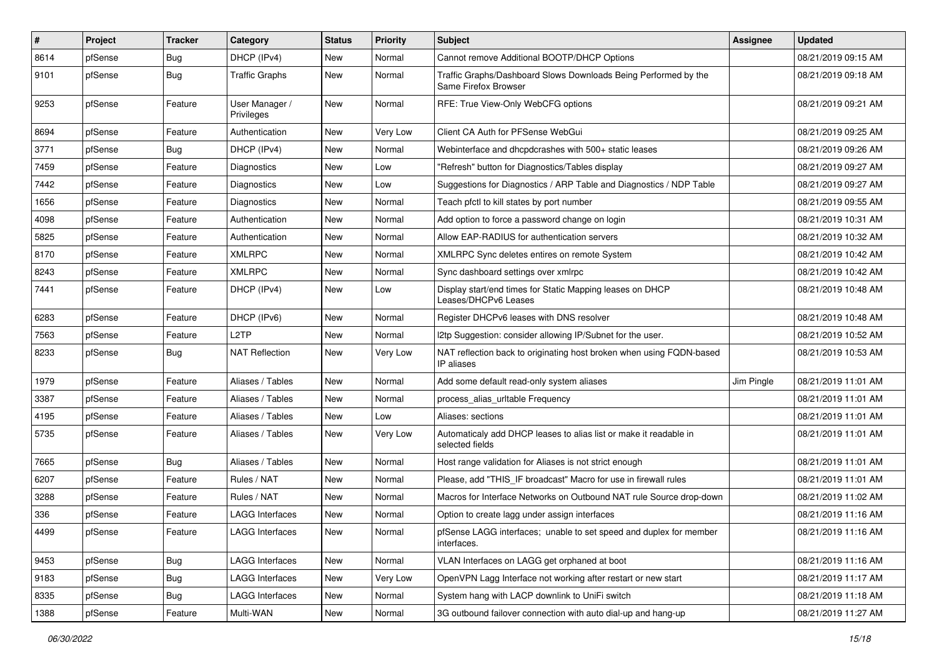| $\sharp$ | Project | <b>Tracker</b> | Category                     | <b>Status</b> | <b>Priority</b> | <b>Subject</b>                                                                          | Assignee   | <b>Updated</b>      |
|----------|---------|----------------|------------------------------|---------------|-----------------|-----------------------------------------------------------------------------------------|------------|---------------------|
| 8614     | pfSense | <b>Bug</b>     | DHCP (IPv4)                  | <b>New</b>    | Normal          | Cannot remove Additional BOOTP/DHCP Options                                             |            | 08/21/2019 09:15 AM |
| 9101     | pfSense | Bug            | <b>Traffic Graphs</b>        | <b>New</b>    | Normal          | Traffic Graphs/Dashboard Slows Downloads Being Performed by the<br>Same Firefox Browser |            | 08/21/2019 09:18 AM |
| 9253     | pfSense | Feature        | User Manager /<br>Privileges | <b>New</b>    | Normal          | RFE: True View-Only WebCFG options                                                      |            | 08/21/2019 09:21 AM |
| 8694     | pfSense | Feature        | Authentication               | New           | Very Low        | Client CA Auth for PFSense WebGui                                                       |            | 08/21/2019 09:25 AM |
| 3771     | pfSense | Bug            | DHCP (IPv4)                  | <b>New</b>    | Normal          | Webinterface and dhcpdcrashes with 500+ static leases                                   |            | 08/21/2019 09:26 AM |
| 7459     | pfSense | Feature        | Diagnostics                  | <b>New</b>    | Low             | 'Refresh" button for Diagnostics/Tables display                                         |            | 08/21/2019 09:27 AM |
| 7442     | pfSense | Feature        | Diagnostics                  | New           | Low             | Suggestions for Diagnostics / ARP Table and Diagnostics / NDP Table                     |            | 08/21/2019 09:27 AM |
| 1656     | pfSense | Feature        | Diagnostics                  | New           | Normal          | Teach pfctl to kill states by port number                                               |            | 08/21/2019 09:55 AM |
| 4098     | pfSense | Feature        | Authentication               | New           | Normal          | Add option to force a password change on login                                          |            | 08/21/2019 10:31 AM |
| 5825     | pfSense | Feature        | Authentication               | <b>New</b>    | Normal          | Allow EAP-RADIUS for authentication servers                                             |            | 08/21/2019 10:32 AM |
| 8170     | pfSense | Feature        | <b>XMLRPC</b>                | <b>New</b>    | Normal          | XMLRPC Sync deletes entires on remote System                                            |            | 08/21/2019 10:42 AM |
| 8243     | pfSense | Feature        | <b>XMLRPC</b>                | New           | Normal          | Sync dashboard settings over xmlrpc                                                     |            | 08/21/2019 10:42 AM |
| 7441     | pfSense | Feature        | DHCP (IPv4)                  | <b>New</b>    | Low             | Display start/end times for Static Mapping leases on DHCP<br>Leases/DHCPv6 Leases       |            | 08/21/2019 10:48 AM |
| 6283     | pfSense | Feature        | DHCP (IPv6)                  | <b>New</b>    | Normal          | Register DHCPv6 leases with DNS resolver                                                |            | 08/21/2019 10:48 AM |
| 7563     | pfSense | Feature        | L <sub>2</sub> TP            | <b>New</b>    | Normal          | I2tp Suggestion: consider allowing IP/Subnet for the user.                              |            | 08/21/2019 10:52 AM |
| 8233     | pfSense | Bug            | NAT Reflection               | New           | Very Low        | NAT reflection back to originating host broken when using FQDN-based<br>IP aliases      |            | 08/21/2019 10:53 AM |
| 1979     | pfSense | Feature        | Aliases / Tables             | <b>New</b>    | Normal          | Add some default read-only system aliases                                               | Jim Pingle | 08/21/2019 11:01 AM |
| 3387     | pfSense | Feature        | Aliases / Tables             | New           | Normal          | process_alias_urltable Frequency                                                        |            | 08/21/2019 11:01 AM |
| 4195     | pfSense | Feature        | Aliases / Tables             | <b>New</b>    | Low             | Aliases: sections                                                                       |            | 08/21/2019 11:01 AM |
| 5735     | pfSense | Feature        | Aliases / Tables             | <b>New</b>    | Very Low        | Automaticaly add DHCP leases to alias list or make it readable in<br>selected fields    |            | 08/21/2019 11:01 AM |
| 7665     | pfSense | Bug            | Aliases / Tables             | <b>New</b>    | Normal          | Host range validation for Aliases is not strict enough                                  |            | 08/21/2019 11:01 AM |
| 6207     | pfSense | Feature        | Rules / NAT                  | <b>New</b>    | Normal          | Please, add "THIS IF broadcast" Macro for use in firewall rules                         |            | 08/21/2019 11:01 AM |
| 3288     | pfSense | Feature        | Rules / NAT                  | <b>New</b>    | Normal          | Macros for Interface Networks on Outbound NAT rule Source drop-down                     |            | 08/21/2019 11:02 AM |
| 336      | pfSense | Feature        | LAGG Interfaces              | <b>New</b>    | Normal          | Option to create lagg under assign interfaces                                           |            | 08/21/2019 11:16 AM |
| 4499     | pfSense | Feature        | <b>LAGG Interfaces</b>       | New           | Normal          | pfSense LAGG interfaces; unable to set speed and duplex for member<br>interfaces.       |            | 08/21/2019 11:16 AM |
| 9453     | pfSense | Bug            | <b>LAGG Interfaces</b>       | New           | Normal          | VLAN Interfaces on LAGG get orphaned at boot                                            |            | 08/21/2019 11:16 AM |
| 9183     | pfSense | <b>Bug</b>     | <b>LAGG Interfaces</b>       | New           | Very Low        | OpenVPN Lagg Interface not working after restart or new start                           |            | 08/21/2019 11:17 AM |
| 8335     | pfSense | Bug            | <b>LAGG Interfaces</b>       | New           | Normal          | System hang with LACP downlink to UniFi switch                                          |            | 08/21/2019 11:18 AM |
| 1388     | pfSense | Feature        | Multi-WAN                    | New           | Normal          | 3G outbound failover connection with auto dial-up and hang-up                           |            | 08/21/2019 11:27 AM |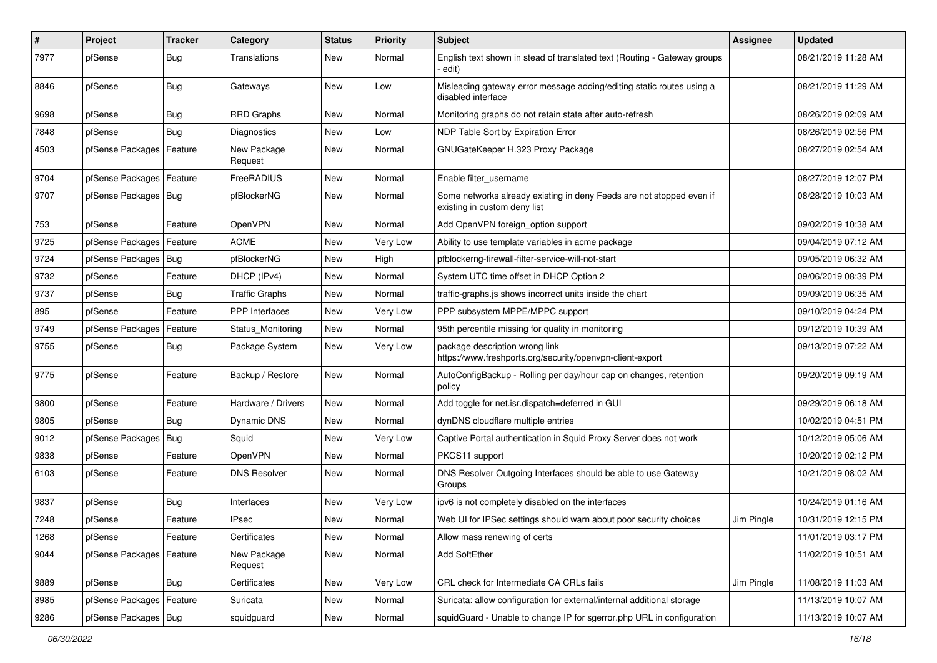| $\pmb{\#}$ | Project                | <b>Tracker</b> | Category               | <b>Status</b> | <b>Priority</b> | <b>Subject</b>                                                                                       | <b>Assignee</b> | <b>Updated</b>      |
|------------|------------------------|----------------|------------------------|---------------|-----------------|------------------------------------------------------------------------------------------------------|-----------------|---------------------|
| 7977       | pfSense                | <b>Bug</b>     | Translations           | New           | Normal          | English text shown in stead of translated text (Routing - Gateway groups<br>· edit)                  |                 | 08/21/2019 11:28 AM |
| 8846       | pfSense                | Bug            | Gateways               | New           | Low             | Misleading gateway error message adding/editing static routes using a<br>disabled interface          |                 | 08/21/2019 11:29 AM |
| 9698       | pfSense                | Bug            | <b>RRD Graphs</b>      | <b>New</b>    | Normal          | Monitoring graphs do not retain state after auto-refresh                                             |                 | 08/26/2019 02:09 AM |
| 7848       | pfSense                | Bug            | <b>Diagnostics</b>     | New           | Low             | NDP Table Sort by Expiration Error                                                                   |                 | 08/26/2019 02:56 PM |
| 4503       | pfSense Packages       | Feature        | New Package<br>Request | New           | Normal          | GNUGateKeeper H.323 Proxy Package                                                                    |                 | 08/27/2019 02:54 AM |
| 9704       | pfSense Packages       | Feature        | FreeRADIUS             | <b>New</b>    | Normal          | Enable filter_username                                                                               |                 | 08/27/2019 12:07 PM |
| 9707       | pfSense Packages   Bug |                | pfBlockerNG            | <b>New</b>    | Normal          | Some networks already existing in deny Feeds are not stopped even if<br>existing in custom deny list |                 | 08/28/2019 10:03 AM |
| 753        | pfSense                | Feature        | OpenVPN                | <b>New</b>    | Normal          | Add OpenVPN foreign_option support                                                                   |                 | 09/02/2019 10:38 AM |
| 9725       | pfSense Packages       | Feature        | <b>ACME</b>            | <b>New</b>    | Very Low        | Ability to use template variables in acme package                                                    |                 | 09/04/2019 07:12 AM |
| 9724       | pfSense Packages       | <b>Bug</b>     | pfBlockerNG            | New           | High            | pfblockerng-firewall-filter-service-will-not-start                                                   |                 | 09/05/2019 06:32 AM |
| 9732       | pfSense                | Feature        | DHCP (IPv4)            | <b>New</b>    | Normal          | System UTC time offset in DHCP Option 2                                                              |                 | 09/06/2019 08:39 PM |
| 9737       | pfSense                | Bug            | <b>Traffic Graphs</b>  | New           | Normal          | traffic-graphs is shows incorrect units inside the chart                                             |                 | 09/09/2019 06:35 AM |
| 895        | pfSense                | Feature        | <b>PPP</b> Interfaces  | <b>New</b>    | Very Low        | PPP subsystem MPPE/MPPC support                                                                      |                 | 09/10/2019 04:24 PM |
| 9749       | pfSense Packages       | Feature        | Status Monitoring      | <b>New</b>    | Normal          | 95th percentile missing for quality in monitoring                                                    |                 | 09/12/2019 10:39 AM |
| 9755       | pfSense                | Bug            | Package System         | New           | Very Low        | package description wrong link<br>https://www.freshports.org/security/openvpn-client-export          |                 | 09/13/2019 07:22 AM |
| 9775       | pfSense                | Feature        | Backup / Restore       | <b>New</b>    | Normal          | AutoConfigBackup - Rolling per day/hour cap on changes, retention<br>policy                          |                 | 09/20/2019 09:19 AM |
| 9800       | pfSense                | Feature        | Hardware / Drivers     | <b>New</b>    | Normal          | Add toggle for net.isr.dispatch=deferred in GUI                                                      |                 | 09/29/2019 06:18 AM |
| 9805       | pfSense                | Bug            | <b>Dynamic DNS</b>     | New           | Normal          | dynDNS cloudflare multiple entries                                                                   |                 | 10/02/2019 04:51 PM |
| 9012       | pfSense Packages       | Bug            | Squid                  | New           | Very Low        | Captive Portal authentication in Squid Proxy Server does not work                                    |                 | 10/12/2019 05:06 AM |
| 9838       | pfSense                | Feature        | OpenVPN                | <b>New</b>    | Normal          | PKCS11 support                                                                                       |                 | 10/20/2019 02:12 PM |
| 6103       | pfSense                | Feature        | <b>DNS Resolver</b>    | New           | Normal          | DNS Resolver Outgoing Interfaces should be able to use Gateway<br>Groups                             |                 | 10/21/2019 08:02 AM |
| 9837       | pfSense                | Bug            | Interfaces             | <b>New</b>    | Very Low        | ipv6 is not completely disabled on the interfaces                                                    |                 | 10/24/2019 01:16 AM |
| 7248       | pfSense                | Feature        | <b>IPsec</b>           | New           | Normal          | Web UI for IPSec settings should warn about poor security choices                                    | Jim Pingle      | 10/31/2019 12:15 PM |
| 1268       | pfSense                | Feature        | Certificates           | New           | Normal          | Allow mass renewing of certs                                                                         |                 | 11/01/2019 03:17 PM |
| 9044       | pfSense Packages       | Feature        | New Package<br>Request | New           | Normal          | Add SoftEther                                                                                        |                 | 11/02/2019 10:51 AM |
| 9889       | pfSense                | Bug            | Certificates           | <b>New</b>    | Very Low        | CRL check for Intermediate CA CRLs fails                                                             | Jim Pingle      | 11/08/2019 11:03 AM |
| 8985       | pfSense Packages       | Feature        | Suricata               | New           | Normal          | Suricata: allow configuration for external/internal additional storage                               |                 | 11/13/2019 10:07 AM |
| 9286       | pfSense Packages   Bug |                | squidguard             | New           | Normal          | squidGuard - Unable to change IP for sgerror.php URL in configuration                                |                 | 11/13/2019 10:07 AM |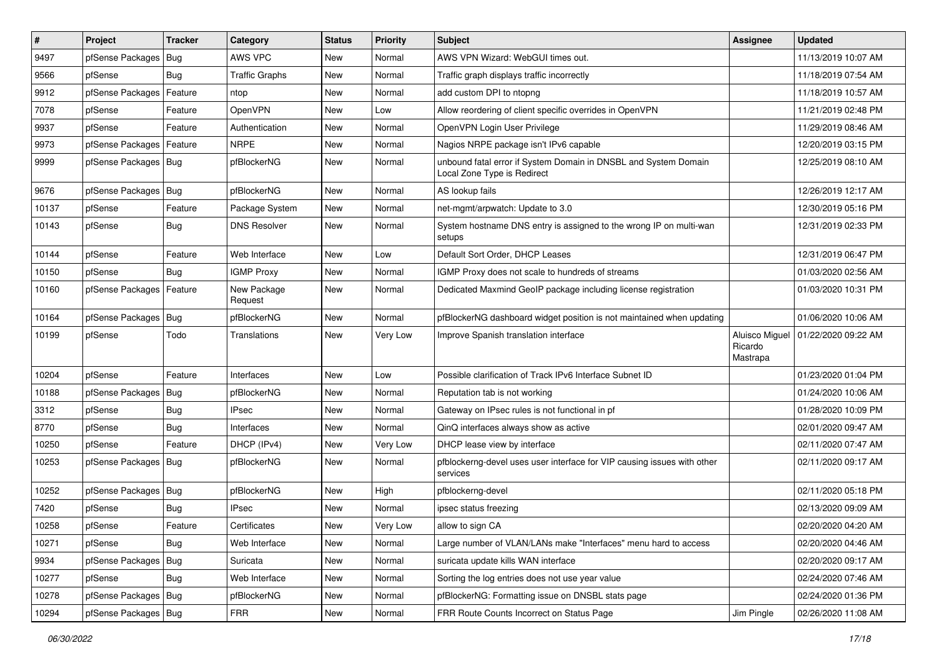| $\vert$ # | Project                    | <b>Tracker</b> | Category               | <b>Status</b> | <b>Priority</b> | <b>Subject</b>                                                                                 | Assignee                              | <b>Updated</b>      |
|-----------|----------------------------|----------------|------------------------|---------------|-----------------|------------------------------------------------------------------------------------------------|---------------------------------------|---------------------|
| 9497      | pfSense Packages           | Bug            | AWS VPC                | New           | Normal          | AWS VPN Wizard: WebGUI times out.                                                              |                                       | 11/13/2019 10:07 AM |
| 9566      | pfSense                    | Bug            | <b>Traffic Graphs</b>  | New           | Normal          | Traffic graph displays traffic incorrectly                                                     |                                       | 11/18/2019 07:54 AM |
| 9912      | pfSense Packages           | Feature        | ntop                   | New           | Normal          | add custom DPI to ntopng                                                                       |                                       | 11/18/2019 10:57 AM |
| 7078      | pfSense                    | Feature        | <b>OpenVPN</b>         | New           | Low             | Allow reordering of client specific overrides in OpenVPN                                       |                                       | 11/21/2019 02:48 PM |
| 9937      | pfSense                    | Feature        | Authentication         | New           | Normal          | OpenVPN Login User Privilege                                                                   |                                       | 11/29/2019 08:46 AM |
| 9973      | pfSense Packages           | Feature        | <b>NRPE</b>            | New           | Normal          | Nagios NRPE package isn't IPv6 capable                                                         |                                       | 12/20/2019 03:15 PM |
| 9999      | pfSense Packages   Bug     |                | pfBlockerNG            | New           | Normal          | unbound fatal error if System Domain in DNSBL and System Domain<br>Local Zone Type is Redirect |                                       | 12/25/2019 08:10 AM |
| 9676      | pfSense Packages           | Bug            | pfBlockerNG            | <b>New</b>    | Normal          | AS lookup fails                                                                                |                                       | 12/26/2019 12:17 AM |
| 10137     | pfSense                    | Feature        | Package System         | New           | Normal          | net-mgmt/arpwatch: Update to 3.0                                                               |                                       | 12/30/2019 05:16 PM |
| 10143     | pfSense                    | Bug            | <b>DNS Resolver</b>    | New           | Normal          | System hostname DNS entry is assigned to the wrong IP on multi-wan<br>setups                   |                                       | 12/31/2019 02:33 PM |
| 10144     | pfSense                    | Feature        | Web Interface          | New           | Low             | Default Sort Order, DHCP Leases                                                                |                                       | 12/31/2019 06:47 PM |
| 10150     | pfSense                    | Bug            | <b>IGMP Proxy</b>      | <b>New</b>    | Normal          | IGMP Proxy does not scale to hundreds of streams                                               |                                       | 01/03/2020 02:56 AM |
| 10160     | pfSense Packages   Feature |                | New Package<br>Request | New           | Normal          | Dedicated Maxmind GeoIP package including license registration                                 |                                       | 01/03/2020 10:31 PM |
| 10164     | pfSense Packages           | Bug            | pfBlockerNG            | New           | Normal          | pfBlockerNG dashboard widget position is not maintained when updating                          |                                       | 01/06/2020 10:06 AM |
| 10199     | pfSense                    | Todo           | Translations           | New           | Very Low        | Improve Spanish translation interface                                                          | Aluisco Miguel<br>Ricardo<br>Mastrapa | 01/22/2020 09:22 AM |
| 10204     | pfSense                    | Feature        | Interfaces             | New           | Low             | Possible clarification of Track IPv6 Interface Subnet ID                                       |                                       | 01/23/2020 01:04 PM |
| 10188     | pfSense Packages           | Bug            | pfBlockerNG            | New           | Normal          | Reputation tab is not working                                                                  |                                       | 01/24/2020 10:06 AM |
| 3312      | pfSense                    | Bug            | <b>IPsec</b>           | New           | Normal          | Gateway on IPsec rules is not functional in pf                                                 |                                       | 01/28/2020 10:09 PM |
| 8770      | pfSense                    | Bug            | Interfaces             | <b>New</b>    | Normal          | QinQ interfaces always show as active                                                          |                                       | 02/01/2020 09:47 AM |
| 10250     | pfSense                    | Feature        | DHCP (IPv4)            | <b>New</b>    | Very Low        | DHCP lease view by interface                                                                   |                                       | 02/11/2020 07:47 AM |
| 10253     | pfSense Packages   Bug     |                | pfBlockerNG            | New           | Normal          | pfblockerng-devel uses user interface for VIP causing issues with other<br>services            |                                       | 02/11/2020 09:17 AM |
| 10252     | pfSense Packages   Bug     |                | pfBlockerNG            | New           | High            | pfblockerng-devel                                                                              |                                       | 02/11/2020 05:18 PM |
| 7420      | pfSense                    | Bug            | <b>IPsec</b>           | <b>New</b>    | Normal          | ipsec status freezing                                                                          |                                       | 02/13/2020 09:09 AM |
| 10258     | pfSense                    | Feature        | Certificates           | New           | Very Low        | allow to sign CA                                                                               |                                       | 02/20/2020 04:20 AM |
| 10271     | pfSense                    | Bug            | Web Interface          | New           | Normal          | Large number of VLAN/LANs make "Interfaces" menu hard to access                                |                                       | 02/20/2020 04:46 AM |
| 9934      | pfSense Packages           | Bug            | Suricata               | New           | Normal          | suricata update kills WAN interface                                                            |                                       | 02/20/2020 09:17 AM |
| 10277     | pfSense                    | <b>Bug</b>     | Web Interface          | New           | Normal          | Sorting the log entries does not use year value                                                |                                       | 02/24/2020 07:46 AM |
| 10278     | pfSense Packages   Bug     |                | pfBlockerNG            | New           | Normal          | pfBlockerNG: Formatting issue on DNSBL stats page                                              |                                       | 02/24/2020 01:36 PM |
| 10294     | pfSense Packages   Bug     |                | <b>FRR</b>             | New           | Normal          | FRR Route Counts Incorrect on Status Page                                                      | Jim Pingle                            | 02/26/2020 11:08 AM |